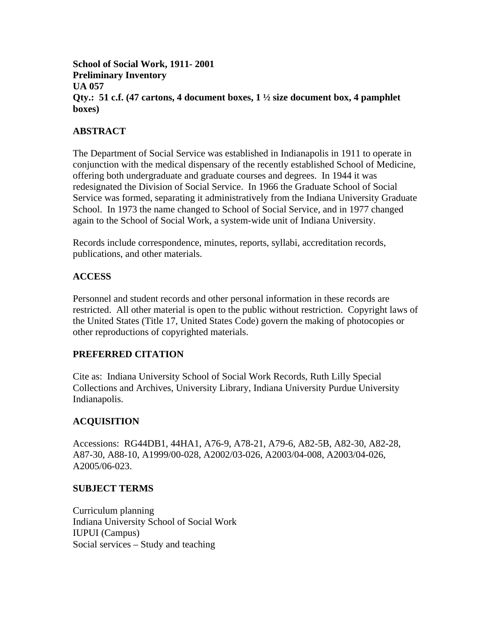**School of Social Work, 1911- 2001 Preliminary Inventory UA 057 Qty.: 51 c.f. (47 cartons, 4 document boxes, 1 ½ size document box, 4 pamphlet boxes)** 

# **ABSTRACT**

The Department of Social Service was established in Indianapolis in 1911 to operate in conjunction with the medical dispensary of the recently established School of Medicine, offering both undergraduate and graduate courses and degrees. In 1944 it was redesignated the Division of Social Service. In 1966 the Graduate School of Social Service was formed, separating it administratively from the Indiana University Graduate School. In 1973 the name changed to School of Social Service, and in 1977 changed again to the School of Social Work, a system-wide unit of Indiana University.

Records include correspondence, minutes, reports, syllabi, accreditation records, publications, and other materials.

### **ACCESS**

Personnel and student records and other personal information in these records are restricted. All other material is open to the public without restriction. Copyright laws of the United States (Title 17, United States Code) govern the making of photocopies or other reproductions of copyrighted materials.

### **PREFERRED CITATION**

Cite as: Indiana University School of Social Work Records, Ruth Lilly Special Collections and Archives, University Library, Indiana University Purdue University Indianapolis.

# **ACQUISITION**

Accessions: RG44DB1, 44HA1, A76-9, A78-21, A79-6, A82-5B, A82-30, A82-28, A87-30, A88-10, A1999/00-028, A2002/03-026, A2003/04-008, A2003/04-026, A2005/06-023.

### **SUBJECT TERMS**

Curriculum planning Indiana University School of Social Work IUPUI (Campus) Social services – Study and teaching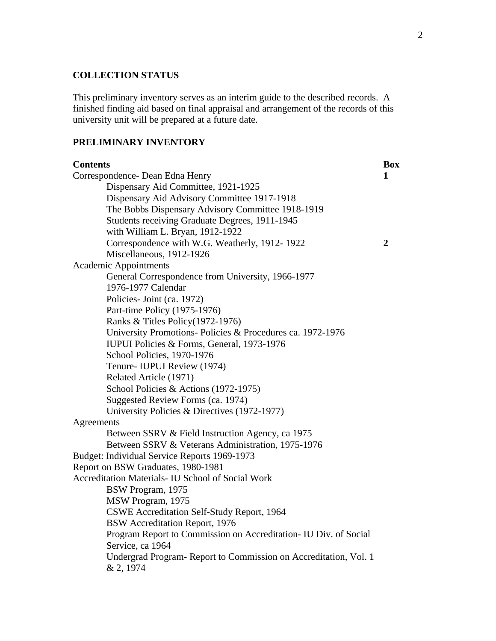# **COLLECTION STATUS**

This preliminary inventory serves as an interim guide to the described records. A finished finding aid based on final appraisal and arrangement of the records of this university unit will be prepared at a future date.

#### **PRELIMINARY INVENTORY**

| <b>Contents</b>                                                  | <b>Box</b>     |
|------------------------------------------------------------------|----------------|
| Correspondence- Dean Edna Henry                                  | 1              |
| Dispensary Aid Committee, 1921-1925                              |                |
| Dispensary Aid Advisory Committee 1917-1918                      |                |
| The Bobbs Dispensary Advisory Committee 1918-1919                |                |
| Students receiving Graduate Degrees, 1911-1945                   |                |
| with William L. Bryan, 1912-1922                                 |                |
| Correspondence with W.G. Weatherly, 1912-1922                    | $\overline{2}$ |
| Miscellaneous, 1912-1926                                         |                |
| <b>Academic Appointments</b>                                     |                |
| General Correspondence from University, 1966-1977                |                |
| 1976-1977 Calendar                                               |                |
| Policies- Joint (ca. 1972)                                       |                |
| Part-time Policy (1975-1976)                                     |                |
| Ranks & Titles Policy (1972-1976)                                |                |
| University Promotions-Policies & Procedures ca. 1972-1976        |                |
| IUPUI Policies & Forms, General, 1973-1976                       |                |
| School Policies, 1970-1976                                       |                |
| Tenure- IUPUI Review (1974)                                      |                |
| Related Article (1971)                                           |                |
| School Policies & Actions (1972-1975)                            |                |
| Suggested Review Forms (ca. 1974)                                |                |
| University Policies & Directives (1972-1977)                     |                |
| Agreements                                                       |                |
| Between SSRV & Field Instruction Agency, ca 1975                 |                |
| Between SSRV & Veterans Administration, 1975-1976                |                |
| Budget: Individual Service Reports 1969-1973                     |                |
| Report on BSW Graduates, 1980-1981                               |                |
| Accreditation Materials- IU School of Social Work                |                |
| BSW Program, 1975                                                |                |
| MSW Program, 1975                                                |                |
| CSWE Accreditation Self-Study Report, 1964                       |                |
| <b>BSW</b> Accreditation Report, 1976                            |                |
| Program Report to Commission on Accreditation- IU Div. of Social |                |
| Service, ca 1964                                                 |                |
| Undergrad Program-Report to Commission on Accreditation, Vol. 1  |                |
| & 2, 1974                                                        |                |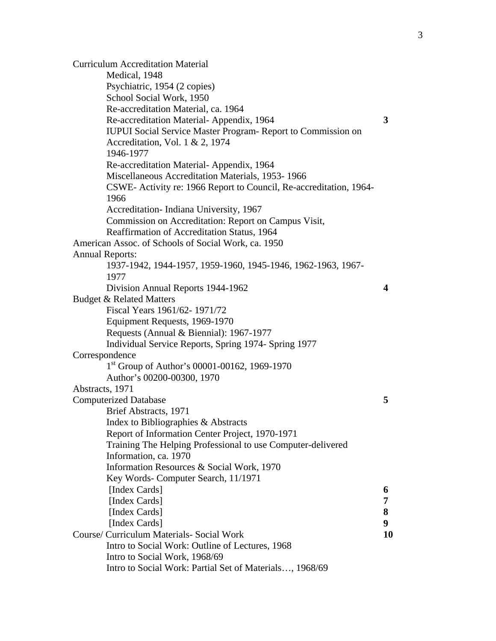Curriculum Accreditation Material Medical, 1948 Psychiatric, 1954 (2 copies) School Social Work, 1950 Re-accreditation Material, ca. 1964 Re-accreditation Material- Appendix, 1964 **3**  IUPUI Social Service Master Program- Report to Commission on Accreditation, Vol. 1 & 2, 1974 1946-1977 Re-accreditation Material- Appendix, 1964 Miscellaneous Accreditation Materials, 1953- 1966 CSWE- Activity re: 1966 Report to Council, Re-accreditation, 1964- 1966 Accreditation- Indiana University, 1967 Commission on Accreditation: Report on Campus Visit, Reaffirmation of Accreditation Status, 1964 American Assoc. of Schools of Social Work, ca. 1950 Annual Reports: 1937-1942, 1944-1957, 1959-1960, 1945-1946, 1962-1963, 1967- 1977 Division Annual Reports 1944-1962 **4**  Budget & Related Matters Fiscal Years 1961/62- 1971/72 Equipment Requests, 1969-1970 Requests (Annual & Biennial): 1967-1977 Individual Service Reports, Spring 1974- Spring 1977 Correspondence 1st Group of Author's 00001-00162, 1969-1970 Author's 00200-00300, 1970 Abstracts, 1971 Computerized Database **5**  Brief Abstracts, 1971 Index to Bibliographies & Abstracts Report of Information Center Project, 1970-1971 Training The Helping Professional to use Computer-delivered Information, ca. 1970 Information Resources & Social Work, 1970 Key Words- Computer Search, 11/1971 [Index Cards] **6**  [Index Cards] **7**  [Index Cards] **8**  [Index Cards] **9**  Course/ Curriculum Materials- Social Work **10**  Intro to Social Work: Outline of Lectures, 1968 Intro to Social Work, 1968/69 Intro to Social Work: Partial Set of Materials…, 1968/69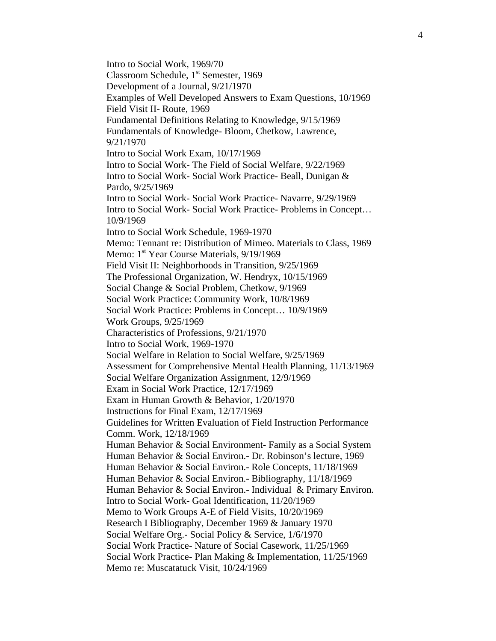Intro to Social Work, 1969/70 Classroom Schedule, 1<sup>st</sup> Semester, 1969 Development of a Journal, 9/21/1970 Examples of Well Developed Answers to Exam Questions, 10/1969 Field Visit II- Route, 1969 Fundamental Definitions Relating to Knowledge, 9/15/1969 Fundamentals of Knowledge- Bloom, Chetkow, Lawrence, 9/21/1970 Intro to Social Work Exam, 10/17/1969 Intro to Social Work- The Field of Social Welfare, 9/22/1969 Intro to Social Work- Social Work Practice- Beall, Dunigan & Pardo, 9/25/1969 Intro to Social Work- Social Work Practice- Navarre, 9/29/1969 Intro to Social Work- Social Work Practice- Problems in Concept… 10/9/1969 Intro to Social Work Schedule, 1969-1970 Memo: Tennant re: Distribution of Mimeo. Materials to Class, 1969 Memo: 1<sup>st</sup> Year Course Materials, 9/19/1969 Field Visit II: Neighborhoods in Transition, 9/25/1969 The Professional Organization, W. Hendryx, 10/15/1969 Social Change & Social Problem, Chetkow, 9/1969 Social Work Practice: Community Work, 10/8/1969 Social Work Practice: Problems in Concept… 10/9/1969 Work Groups, 9/25/1969 Characteristics of Professions, 9/21/1970 Intro to Social Work, 1969-1970 Social Welfare in Relation to Social Welfare, 9/25/1969 Assessment for Comprehensive Mental Health Planning, 11/13/1969 Social Welfare Organization Assignment, 12/9/1969 Exam in Social Work Practice, 12/17/1969 Exam in Human Growth & Behavior, 1/20/1970 Instructions for Final Exam, 12/17/1969 Guidelines for Written Evaluation of Field Instruction Performance Comm. Work, 12/18/1969 Human Behavior & Social Environment- Family as a Social System Human Behavior & Social Environ.- Dr. Robinson's lecture, 1969 Human Behavior & Social Environ.- Role Concepts, 11/18/1969 Human Behavior & Social Environ.- Bibliography, 11/18/1969 Human Behavior & Social Environ.- Individual & Primary Environ. Intro to Social Work- Goal Identification, 11/20/1969 Memo to Work Groups A-E of Field Visits, 10/20/1969 Research I Bibliography, December 1969 & January 1970 Social Welfare Org.- Social Policy & Service, 1/6/1970 Social Work Practice- Nature of Social Casework, 11/25/1969 Social Work Practice- Plan Making & Implementation, 11/25/1969 Memo re: Muscatatuck Visit, 10/24/1969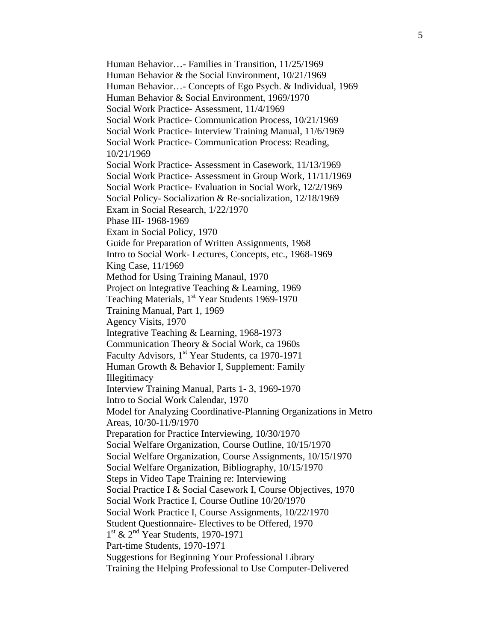Human Behavior…- Families in Transition, 11/25/1969 Human Behavior & the Social Environment, 10/21/1969 Human Behavior…- Concepts of Ego Psych. & Individual, 1969 Human Behavior & Social Environment, 1969/1970 Social Work Practice- Assessment, 11/4/1969 Social Work Practice- Communication Process, 10/21/1969 Social Work Practice- Interview Training Manual, 11/6/1969 Social Work Practice- Communication Process: Reading, 10/21/1969 Social Work Practice- Assessment in Casework, 11/13/1969 Social Work Practice- Assessment in Group Work, 11/11/1969 Social Work Practice- Evaluation in Social Work, 12/2/1969 Social Policy- Socialization & Re-socialization, 12/18/1969 Exam in Social Research, 1/22/1970 Phase III- 1968-1969 Exam in Social Policy, 1970 Guide for Preparation of Written Assignments, 1968 Intro to Social Work- Lectures, Concepts, etc., 1968-1969 King Case, 11/1969 Method for Using Training Manaul, 1970 Project on Integrative Teaching & Learning, 1969 Teaching Materials, 1<sup>st</sup> Year Students 1969-1970 Training Manual, Part 1, 1969 Agency Visits, 1970 Integrative Teaching & Learning, 1968-1973 Communication Theory & Social Work, ca 1960s Faculty Advisors, 1<sup>st</sup> Year Students, ca 1970-1971 Human Growth & Behavior I, Supplement: Family Illegitimacy Interview Training Manual, Parts 1- 3, 1969-1970 Intro to Social Work Calendar, 1970 Model for Analyzing Coordinative-Planning Organizations in Metro Areas, 10/30-11/9/1970 Preparation for Practice Interviewing, 10/30/1970 Social Welfare Organization, Course Outline, 10/15/1970 Social Welfare Organization, Course Assignments, 10/15/1970 Social Welfare Organization, Bibliography, 10/15/1970 Steps in Video Tape Training re: Interviewing Social Practice I & Social Casework I, Course Objectives, 1970 Social Work Practice I, Course Outline 10/20/1970 Social Work Practice I, Course Assignments, 10/22/1970 Student Questionnaire- Electives to be Offered, 1970 1<sup>st</sup> & 2<sup>nd</sup> Year Students, 1970-1971 Part-time Students, 1970-1971 Suggestions for Beginning Your Professional Library Training the Helping Professional to Use Computer-Delivered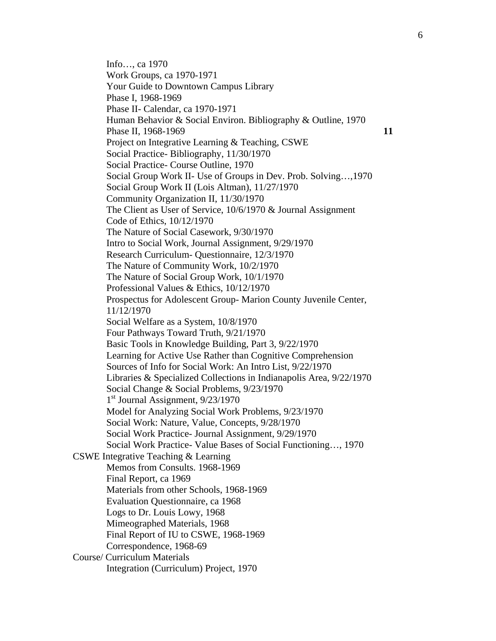Info…, ca 1970 Work Groups, ca 1970-1971 Your Guide to Downtown Campus Library Phase I, 1968-1969 Phase II- Calendar, ca 1970-1971 Human Behavior & Social Environ. Bibliography & Outline, 1970 Phase II, 1968-1969 **11** Project on Integrative Learning & Teaching, CSWE Social Practice- Bibliography, 11/30/1970 Social Practice- Course Outline, 1970 Social Group Work II- Use of Groups in Dev. Prob. Solving…,1970 Social Group Work II (Lois Altman), 11/27/1970 Community Organization II, 11/30/1970 The Client as User of Service, 10/6/1970 & Journal Assignment Code of Ethics, 10/12/1970 The Nature of Social Casework, 9/30/1970 Intro to Social Work, Journal Assignment, 9/29/1970 Research Curriculum- Questionnaire, 12/3/1970 The Nature of Community Work, 10/2/1970 The Nature of Social Group Work, 10/1/1970 Professional Values & Ethics, 10/12/1970 Prospectus for Adolescent Group- Marion County Juvenile Center, 11/12/1970 Social Welfare as a System, 10/8/1970 Four Pathways Toward Truth, 9/21/1970 Basic Tools in Knowledge Building, Part 3, 9/22/1970 Learning for Active Use Rather than Cognitive Comprehension Sources of Info for Social Work: An Intro List, 9/22/1970 Libraries & Specialized Collections in Indianapolis Area, 9/22/1970 Social Change & Social Problems, 9/23/1970 1<sup>st</sup> Journal Assignment, 9/23/1970 Model for Analyzing Social Work Problems, 9/23/1970 Social Work: Nature, Value, Concepts, 9/28/1970 Social Work Practice- Journal Assignment, 9/29/1970 Social Work Practice- Value Bases of Social Functioning…, 1970 CSWE Integrative Teaching & Learning Memos from Consults. 1968-1969 Final Report, ca 1969 Materials from other Schools, 1968-1969 Evaluation Questionnaire, ca 1968 Logs to Dr. Louis Lowy, 1968 Mimeographed Materials, 1968 Final Report of IU to CSWE, 1968-1969 Correspondence, 1968-69 Course/ Curriculum Materials Integration (Curriculum) Project, 1970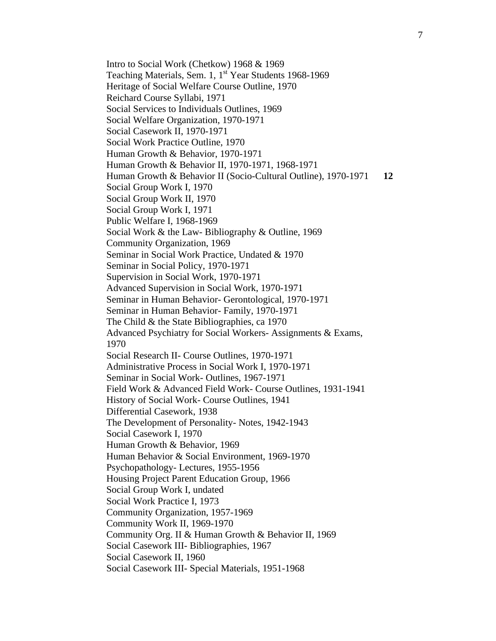Intro to Social Work (Chetkow) 1968 & 1969 Teaching Materials, Sem. 1, 1<sup>st</sup> Year Students 1968-1969 Heritage of Social Welfare Course Outline, 1970 Reichard Course Syllabi, 1971 Social Services to Individuals Outlines, 1969 Social Welfare Organization, 1970-1971 Social Casework II, 1970-1971 Social Work Practice Outline, 1970 Human Growth & Behavior, 1970-1971 Human Growth & Behavior II, 1970-1971, 1968-1971 Human Growth & Behavior II (Socio-Cultural Outline), 1970-1971 **12**  Social Group Work I, 1970 Social Group Work II, 1970 Social Group Work I, 1971 Public Welfare I, 1968-1969 Social Work & the Law- Bibliography & Outline, 1969 Community Organization, 1969 Seminar in Social Work Practice, Undated & 1970 Seminar in Social Policy, 1970-1971 Supervision in Social Work, 1970-1971 Advanced Supervision in Social Work, 1970-1971 Seminar in Human Behavior- Gerontological, 1970-1971 Seminar in Human Behavior- Family, 1970-1971 The Child & the State Bibliographies, ca 1970 Advanced Psychiatry for Social Workers- Assignments & Exams, 1970 Social Research II- Course Outlines, 1970-1971 Administrative Process in Social Work I, 1970-1971 Seminar in Social Work- Outlines, 1967-1971 Field Work & Advanced Field Work- Course Outlines, 1931-1941 History of Social Work- Course Outlines, 1941 Differential Casework, 1938 The Development of Personality- Notes, 1942-1943 Social Casework I, 1970 Human Growth & Behavior, 1969 Human Behavior & Social Environment, 1969-1970 Psychopathology- Lectures, 1955-1956 Housing Project Parent Education Group, 1966 Social Group Work I, undated Social Work Practice I, 1973 Community Organization, 1957-1969 Community Work II, 1969-1970 Community Org. II & Human Growth & Behavior II, 1969 Social Casework III- Bibliographies, 1967 Social Casework II, 1960 Social Casework III- Special Materials, 1951-1968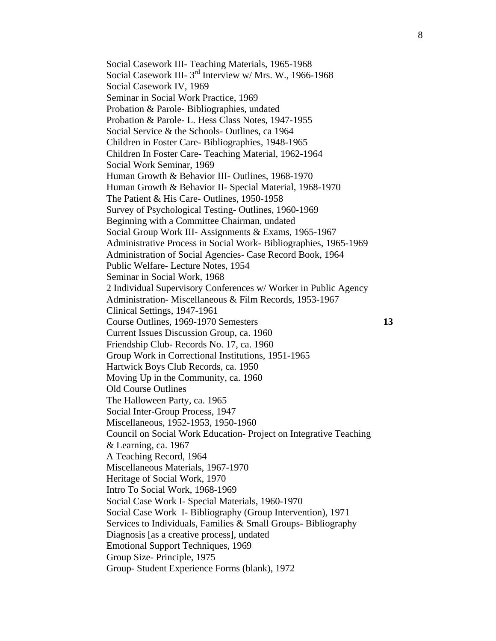Social Casework III- Teaching Materials, 1965-1968 Social Casework III- 3<sup>rd</sup> Interview w/ Mrs. W., 1966-1968 Social Casework IV, 1969 Seminar in Social Work Practice, 1969 Probation & Parole- Bibliographies, undated Probation & Parole- L. Hess Class Notes, 1947-1955 Social Service & the Schools- Outlines, ca 1964 Children in Foster Care- Bibliographies, 1948-1965 Children In Foster Care- Teaching Material, 1962-1964 Social Work Seminar, 1969 Human Growth & Behavior III- Outlines, 1968-1970 Human Growth & Behavior II- Special Material, 1968-1970 The Patient & His Care- Outlines, 1950-1958 Survey of Psychological Testing- Outlines, 1960-1969 Beginning with a Committee Chairman, undated Social Group Work III- Assignments & Exams, 1965-1967 Administrative Process in Social Work- Bibliographies, 1965-1969 Administration of Social Agencies- Case Record Book, 1964 Public Welfare- Lecture Notes, 1954 Seminar in Social Work, 1968 2 Individual Supervisory Conferences w/ Worker in Public Agency Administration- Miscellaneous & Film Records, 1953-1967 Clinical Settings, 1947-1961 Course Outlines, 1969-1970 Semesters **13**  Current Issues Discussion Group, ca. 1960 Friendship Club- Records No. 17, ca. 1960 Group Work in Correctional Institutions, 1951-1965 Hartwick Boys Club Records, ca. 1950 Moving Up in the Community, ca. 1960 Old Course Outlines The Halloween Party, ca. 1965 Social Inter-Group Process, 1947 Miscellaneous, 1952-1953, 1950-1960 Council on Social Work Education- Project on Integrative Teaching & Learning, ca. 1967 A Teaching Record, 1964 Miscellaneous Materials, 1967-1970 Heritage of Social Work, 1970 Intro To Social Work, 1968-1969 Social Case Work I- Special Materials, 1960-1970 Social Case Work I- Bibliography (Group Intervention), 1971 Services to Individuals, Families & Small Groups- Bibliography Diagnosis [as a creative process], undated Emotional Support Techniques, 1969 Group Size- Principle, 1975 Group- Student Experience Forms (blank), 1972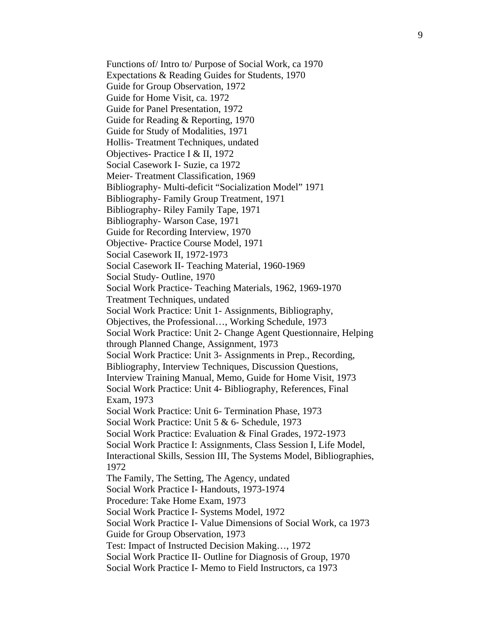Functions of/ Intro to/ Purpose of Social Work, ca 1970 Expectations & Reading Guides for Students, 1970 Guide for Group Observation, 1972 Guide for Home Visit, ca. 1972 Guide for Panel Presentation, 1972 Guide for Reading & Reporting, 1970 Guide for Study of Modalities, 1971 Hollis- Treatment Techniques, undated Objectives- Practice I & II, 1972 Social Casework I- Suzie, ca 1972 Meier- Treatment Classification, 1969 Bibliography- Multi-deficit "Socialization Model" 1971 Bibliography- Family Group Treatment, 1971 Bibliography- Riley Family Tape, 1971 Bibliography- Warson Case, 1971 Guide for Recording Interview, 1970 Objective- Practice Course Model, 1971 Social Casework II, 1972-1973 Social Casework II- Teaching Material, 1960-1969 Social Study- Outline, 1970 Social Work Practice- Teaching Materials, 1962, 1969-1970 Treatment Techniques, undated Social Work Practice: Unit 1- Assignments, Bibliography, Objectives, the Professional…, Working Schedule, 1973 Social Work Practice: Unit 2- Change Agent Questionnaire, Helping through Planned Change, Assignment, 1973 Social Work Practice: Unit 3- Assignments in Prep., Recording, Bibliography, Interview Techniques, Discussion Questions, Interview Training Manual, Memo, Guide for Home Visit, 1973 Social Work Practice: Unit 4- Bibliography, References, Final Exam, 1973 Social Work Practice: Unit 6- Termination Phase, 1973 Social Work Practice: Unit 5 & 6- Schedule, 1973 Social Work Practice: Evaluation & Final Grades, 1972-1973 Social Work Practice I: Assignments, Class Session I, Life Model, Interactional Skills, Session III, The Systems Model, Bibliographies, 1972 The Family, The Setting, The Agency, undated Social Work Practice I- Handouts, 1973-1974 Procedure: Take Home Exam, 1973 Social Work Practice I- Systems Model, 1972 Social Work Practice I- Value Dimensions of Social Work, ca 1973 Guide for Group Observation, 1973 Test: Impact of Instructed Decision Making…, 1972 Social Work Practice II- Outline for Diagnosis of Group, 1970 Social Work Practice I- Memo to Field Instructors, ca 1973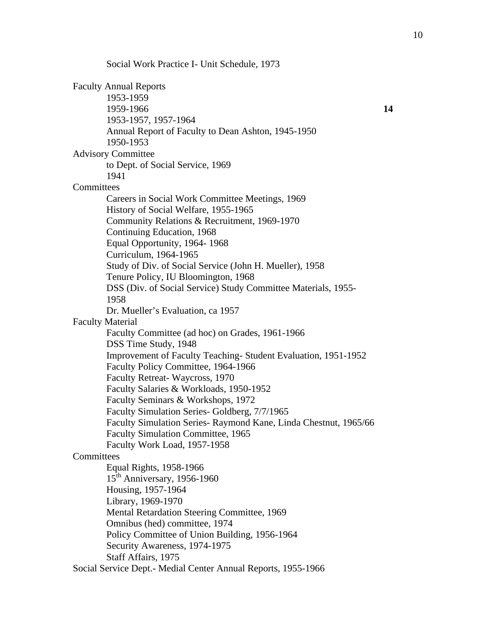Social Work Practice I- Unit Schedule, 1973 Faculty Annual Reports 1953-1959 1959-1966 **14**  1953-1957, 1957-1964 Annual Report of Faculty to Dean Ashton, 1945-1950 1950-1953 Advisory Committee to Dept. of Social Service, 1969 1941 **Committees** Careers in Social Work Committee Meetings, 1969 History of Social Welfare, 1955-1965 Community Relations & Recruitment, 1969-1970 Continuing Education, 1968 Equal Opportunity, 1964- 1968 Curriculum, 1964-1965 Study of Div. of Social Service (John H. Mueller), 1958 Tenure Policy, IU Bloomington, 1968 DSS (Div. of Social Service) Study Committee Materials, 1955- 1958 Dr. Mueller's Evaluation, ca 1957 Faculty Material Faculty Committee (ad hoc) on Grades, 1961-1966 DSS Time Study, 1948 Improvement of Faculty Teaching- Student Evaluation, 1951-1952 Faculty Policy Committee, 1964-1966 Faculty Retreat- Waycross, 1970 Faculty Salaries & Workloads, 1950-1952 Faculty Seminars & Workshops, 1972 Faculty Simulation Series- Goldberg, 7/7/1965 Faculty Simulation Series- Raymond Kane, Linda Chestnut, 1965/66 Faculty Simulation Committee, 1965 Faculty Work Load, 1957-1958 **Committees** Equal Rights, 1958-1966  $15<sup>th</sup>$  Anniversary, 1956-1960 Housing, 1957-1964 Library, 1969-1970 Mental Retardation Steering Committee, 1969 Omnibus (hed) committee, 1974 Policy Committee of Union Building, 1956-1964 Security Awareness, 1974-1975 Staff Affairs, 1975

Social Service Dept.- Medial Center Annual Reports, 1955-1966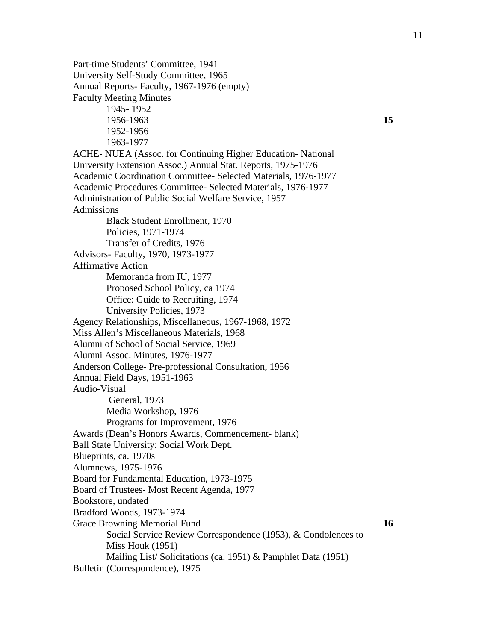Part-time Students' Committee, 1941 University Self-Study Committee, 1965 Annual Reports- Faculty, 1967-1976 (empty) Faculty Meeting Minutes 1945- 1952 1956-1963 **15**  1952-1956 1963-1977 ACHE- NUEA (Assoc. for Continuing Higher Education- National University Extension Assoc.) Annual Stat. Reports, 1975-1976 Academic Coordination Committee- Selected Materials, 1976-1977 Academic Procedures Committee- Selected Materials, 1976-1977 Administration of Public Social Welfare Service, 1957 Admissions Black Student Enrollment, 1970 Policies, 1971-1974 Transfer of Credits, 1976 Advisors- Faculty, 1970, 1973-1977 Affirmative Action Memoranda from IU, 1977 Proposed School Policy, ca 1974 Office: Guide to Recruiting, 1974 University Policies, 1973 Agency Relationships, Miscellaneous, 1967-1968, 1972 Miss Allen's Miscellaneous Materials, 1968 Alumni of School of Social Service, 1969 Alumni Assoc. Minutes, 1976-1977 Anderson College- Pre-professional Consultation, 1956 Annual Field Days, 1951-1963 Audio-Visual General, 1973 Media Workshop, 1976 Programs for Improvement, 1976 Awards (Dean's Honors Awards, Commencement- blank) Ball State University: Social Work Dept. Blueprints, ca. 1970s Alumnews, 1975-1976 Board for Fundamental Education, 1973-1975 Board of Trustees- Most Recent Agenda, 1977 Bookstore, undated Bradford Woods, 1973-1974 Grace Browning Memorial Fund **16 16** Social Service Review Correspondence (1953), & Condolences to Miss Houk (1951) Mailing List/ Solicitations (ca. 1951) & Pamphlet Data (1951) Bulletin (Correspondence), 1975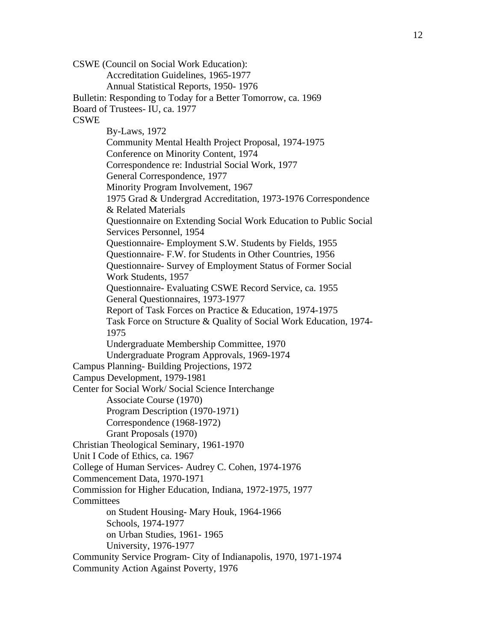CSWE (Council on Social Work Education): Accreditation Guidelines, 1965-1977 Annual Statistical Reports, 1950- 1976 Bulletin: Responding to Today for a Better Tomorrow, ca. 1969 Board of Trustees- IU, ca. 1977 **CSWE** By-Laws, 1972 Community Mental Health Project Proposal, 1974-1975 Conference on Minority Content, 1974 Correspondence re: Industrial Social Work, 1977 General Correspondence, 1977 Minority Program Involvement, 1967 1975 Grad & Undergrad Accreditation, 1973-1976 Correspondence & Related Materials Questionnaire on Extending Social Work Education to Public Social Services Personnel, 1954 Questionnaire- Employment S.W. Students by Fields, 1955 Questionnaire- F.W. for Students in Other Countries, 1956 Questionnaire- Survey of Employment Status of Former Social Work Students, 1957 Questionnaire- Evaluating CSWE Record Service, ca. 1955 General Questionnaires, 1973-1977 Report of Task Forces on Practice & Education, 1974-1975 Task Force on Structure & Quality of Social Work Education, 1974- 1975 Undergraduate Membership Committee, 1970 Undergraduate Program Approvals, 1969-1974 Campus Planning- Building Projections, 1972 Campus Development, 1979-1981 Center for Social Work/ Social Science Interchange Associate Course (1970) Program Description (1970-1971) Correspondence (1968-1972) Grant Proposals (1970) Christian Theological Seminary, 1961-1970 Unit I Code of Ethics, ca. 1967 College of Human Services- Audrey C. Cohen, 1974-1976 Commencement Data, 1970-1971 Commission for Higher Education, Indiana, 1972-1975, 1977 **Committees** on Student Housing- Mary Houk, 1964-1966 Schools, 1974-1977 on Urban Studies, 1961- 1965 University, 1976-1977 Community Service Program- City of Indianapolis, 1970, 1971-1974 Community Action Against Poverty, 1976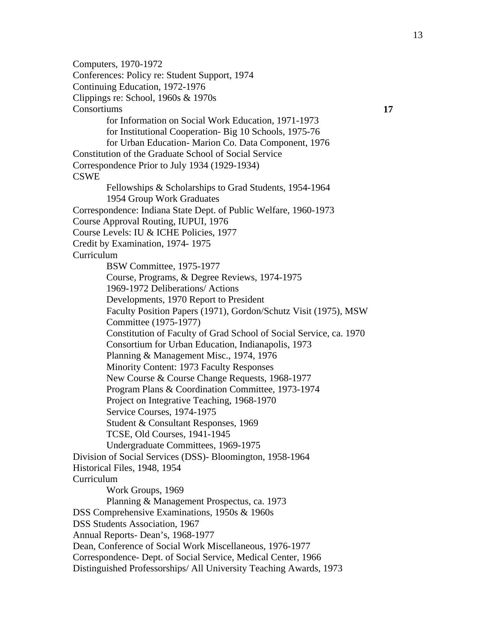Computers, 1970-1972 Conferences: Policy re: Student Support, 1974 Continuing Education, 1972-1976 Clippings re: School, 1960s & 1970s Consortiums **17**  for Information on Social Work Education, 1971-1973 for Institutional Cooperation- Big 10 Schools, 1975-76 for Urban Education- Marion Co. Data Component, 1976 Constitution of the Graduate School of Social Service Correspondence Prior to July 1934 (1929-1934) CSWE Fellowships & Scholarships to Grad Students, 1954-1964 1954 Group Work Graduates Correspondence: Indiana State Dept. of Public Welfare, 1960-1973 Course Approval Routing, IUPUI, 1976 Course Levels: IU & ICHE Policies, 1977 Credit by Examination, 1974- 1975 Curriculum BSW Committee, 1975-1977 Course, Programs, & Degree Reviews, 1974-1975 1969-1972 Deliberations/ Actions Developments, 1970 Report to President Faculty Position Papers (1971), Gordon/Schutz Visit (1975), MSW Committee (1975-1977) Constitution of Faculty of Grad School of Social Service, ca. 1970 Consortium for Urban Education, Indianapolis, 1973 Planning & Management Misc., 1974, 1976 Minority Content: 1973 Faculty Responses New Course & Course Change Requests, 1968-1977 Program Plans & Coordination Committee, 1973-1974 Project on Integrative Teaching, 1968-1970 Service Courses, 1974-1975 Student & Consultant Responses, 1969 TCSE, Old Courses, 1941-1945 Undergraduate Committees, 1969-1975 Division of Social Services (DSS)- Bloomington, 1958-1964 Historical Files, 1948, 1954 Curriculum Work Groups, 1969 Planning & Management Prospectus, ca. 1973 DSS Comprehensive Examinations, 1950s & 1960s DSS Students Association, 1967 Annual Reports- Dean's, 1968-1977 Dean, Conference of Social Work Miscellaneous, 1976-1977 Correspondence- Dept. of Social Service, Medical Center, 1966 Distinguished Professorships/ All University Teaching Awards, 1973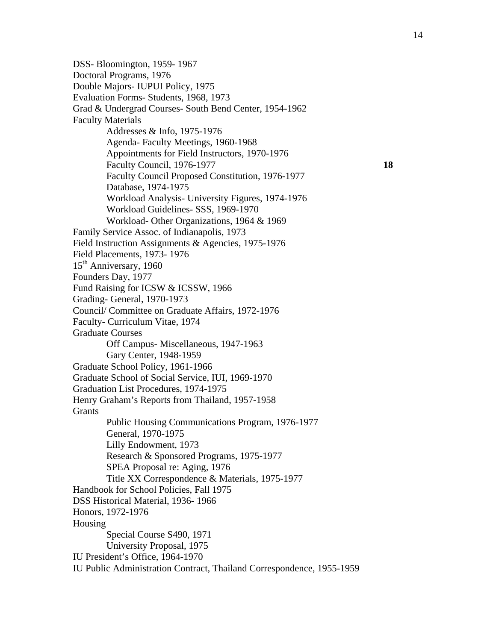DSS- Bloomington, 1959- 1967 Doctoral Programs, 1976 Double Majors- IUPUI Policy, 1975 Evaluation Forms- Students, 1968, 1973 Grad & Undergrad Courses- South Bend Center, 1954-1962 Faculty Materials Addresses & Info, 1975-1976 Agenda- Faculty Meetings, 1960-1968 Appointments for Field Instructors, 1970-1976 Faculty Council, 1976-1977 **18**  Faculty Council Proposed Constitution, 1976-1977 Database, 1974-1975 Workload Analysis- University Figures, 1974-1976 Workload Guidelines- SSS, 1969-1970 Workload- Other Organizations, 1964 & 1969 Family Service Assoc. of Indianapolis, 1973 Field Instruction Assignments & Agencies, 1975-1976 Field Placements, 1973- 1976 15<sup>th</sup> Anniversary, 1960 Founders Day, 1977 Fund Raising for ICSW & ICSSW, 1966 Grading- General, 1970-1973 Council/ Committee on Graduate Affairs, 1972-1976 Faculty- Curriculum Vitae, 1974 Graduate Courses Off Campus- Miscellaneous, 1947-1963 Gary Center, 1948-1959 Graduate School Policy, 1961-1966 Graduate School of Social Service, IUI, 1969-1970 Graduation List Procedures, 1974-1975 Henry Graham's Reports from Thailand, 1957-1958 Grants Public Housing Communications Program, 1976-1977 General, 1970-1975 Lilly Endowment, 1973 Research & Sponsored Programs, 1975-1977 SPEA Proposal re: Aging, 1976 Title XX Correspondence & Materials, 1975-1977 Handbook for School Policies, Fall 1975 DSS Historical Material, 1936- 1966 Honors, 1972-1976 Housing Special Course S490, 1971 University Proposal, 1975 IU President's Office, 1964-1970 IU Public Administration Contract, Thailand Correspondence, 1955-1959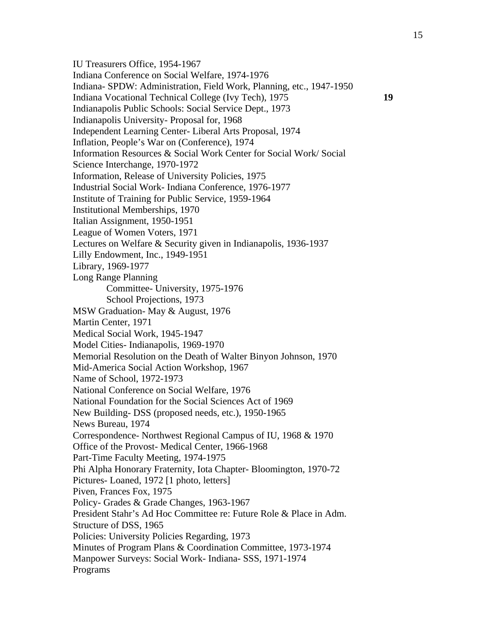IU Treasurers Office, 1954-1967 Indiana Conference on Social Welfare, 1974-1976 Indiana- SPDW: Administration, Field Work, Planning, etc., 1947-1950 Indiana Vocational Technical College (Ivy Tech), 1975 **19**  Indianapolis Public Schools: Social Service Dept., 1973 Indianapolis University- Proposal for, 1968 Independent Learning Center- Liberal Arts Proposal, 1974 Inflation, People's War on (Conference), 1974 Information Resources & Social Work Center for Social Work/ Social Science Interchange, 1970-1972 Information, Release of University Policies, 1975 Industrial Social Work- Indiana Conference, 1976-1977 Institute of Training for Public Service, 1959-1964 Institutional Memberships, 1970 Italian Assignment, 1950-1951 League of Women Voters, 1971 Lectures on Welfare & Security given in Indianapolis, 1936-1937 Lilly Endowment, Inc., 1949-1951 Library, 1969-1977 Long Range Planning Committee- University, 1975-1976 School Projections, 1973 MSW Graduation- May & August, 1976 Martin Center, 1971 Medical Social Work, 1945-1947 Model Cities- Indianapolis, 1969-1970 Memorial Resolution on the Death of Walter Binyon Johnson, 1970 Mid-America Social Action Workshop, 1967 Name of School, 1972-1973 National Conference on Social Welfare, 1976 National Foundation for the Social Sciences Act of 1969 New Building- DSS (proposed needs, etc.), 1950-1965 News Bureau, 1974 Correspondence- Northwest Regional Campus of IU, 1968 & 1970 Office of the Provost- Medical Center, 1966-1968 Part-Time Faculty Meeting, 1974-1975 Phi Alpha Honorary Fraternity, Iota Chapter- Bloomington, 1970-72 Pictures- Loaned, 1972 [1 photo, letters] Piven, Frances Fox, 1975 Policy- Grades & Grade Changes, 1963-1967 President Stahr's Ad Hoc Committee re: Future Role & Place in Adm. Structure of DSS, 1965 Policies: University Policies Regarding, 1973 Minutes of Program Plans & Coordination Committee, 1973-1974 Manpower Surveys: Social Work- Indiana- SSS, 1971-1974 Programs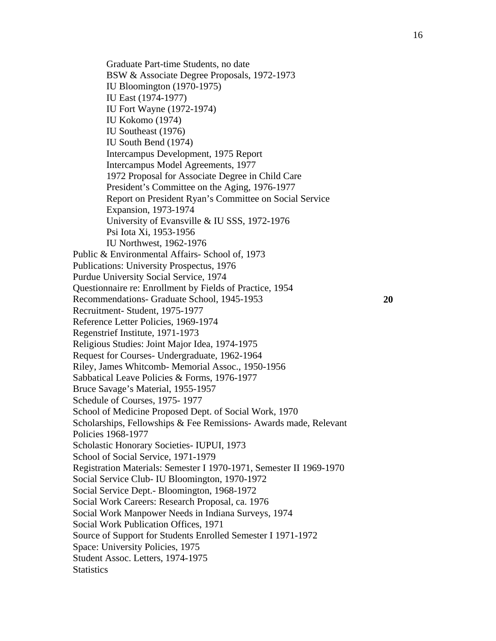Graduate Part-time Students, no date BSW & Associate Degree Proposals, 1972-1973 IU Bloomington (1970-1975) IU East (1974-1977) IU Fort Wayne (1972-1974) IU Kokomo (1974) IU Southeast (1976) IU South Bend (1974) Intercampus Development, 1975 Report Intercampus Model Agreements, 1977 1972 Proposal for Associate Degree in Child Care President's Committee on the Aging, 1976-1977 Report on President Ryan's Committee on Social Service Expansion, 1973-1974 University of Evansville & IU SSS, 1972-1976 Psi Iota Xi, 1953-1956 IU Northwest, 1962-1976 Public & Environmental Affairs- School of, 1973 Publications: University Prospectus, 1976 Purdue University Social Service, 1974 Questionnaire re: Enrollment by Fields of Practice, 1954 Recommendations- Graduate School, 1945-1953 **20**  Recruitment- Student, 1975-1977 Reference Letter Policies, 1969-1974 Regenstrief Institute, 1971-1973 Religious Studies: Joint Major Idea, 1974-1975 Request for Courses- Undergraduate, 1962-1964 Riley, James Whitcomb- Memorial Assoc., 1950-1956 Sabbatical Leave Policies & Forms, 1976-1977 Bruce Savage's Material, 1955-1957 Schedule of Courses, 1975- 1977 School of Medicine Proposed Dept. of Social Work, 1970 Scholarships, Fellowships & Fee Remissions- Awards made, Relevant Policies 1968-1977 Scholastic Honorary Societies- IUPUI, 1973 School of Social Service, 1971-1979 Registration Materials: Semester I 1970-1971, Semester II 1969-1970 Social Service Club- IU Bloomington, 1970-1972 Social Service Dept.- Bloomington, 1968-1972 Social Work Careers: Research Proposal, ca. 1976 Social Work Manpower Needs in Indiana Surveys, 1974 Social Work Publication Offices, 1971 Source of Support for Students Enrolled Semester I 1971-1972 Space: University Policies, 1975 Student Assoc. Letters, 1974-1975 **Statistics**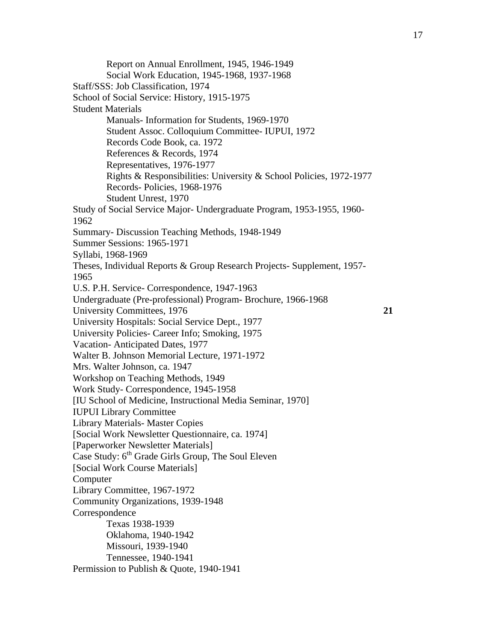Report on Annual Enrollment, 1945, 1946-1949 Social Work Education, 1945-1968, 1937-1968 Staff/SSS: Job Classification, 1974 School of Social Service: History, 1915-1975 Student Materials Manuals- Information for Students, 1969-1970 Student Assoc. Colloquium Committee- IUPUI, 1972 Records Code Book, ca. 1972 References & Records, 1974 Representatives, 1976-1977 Rights & Responsibilities: University & School Policies, 1972-1977 Records- Policies, 1968-1976 Student Unrest, 1970 Study of Social Service Major- Undergraduate Program, 1953-1955, 1960- 1962 Summary- Discussion Teaching Methods, 1948-1949 Summer Sessions: 1965-1971 Syllabi, 1968-1969 Theses, Individual Reports & Group Research Projects- Supplement, 1957- 1965 U.S. P.H. Service- Correspondence, 1947-1963 Undergraduate (Pre-professional) Program- Brochure, 1966-1968 University Committees, 1976 **21**  University Hospitals: Social Service Dept., 1977 University Policies- Career Info; Smoking, 1975 Vacation- Anticipated Dates, 1977 Walter B. Johnson Memorial Lecture, 1971-1972 Mrs. Walter Johnson, ca. 1947 Workshop on Teaching Methods, 1949 Work Study- Correspondence, 1945-1958 [IU School of Medicine, Instructional Media Seminar, 1970] IUPUI Library Committee Library Materials- Master Copies [Social Work Newsletter Questionnaire, ca. 1974] [Paperworker Newsletter Materials] Case Study: 6<sup>th</sup> Grade Girls Group, The Soul Eleven [Social Work Course Materials] **Computer** Library Committee, 1967-1972 Community Organizations, 1939-1948 Correspondence Texas 1938-1939 Oklahoma, 1940-1942 Missouri, 1939-1940 Tennessee, 1940-1941 Permission to Publish & Quote, 1940-1941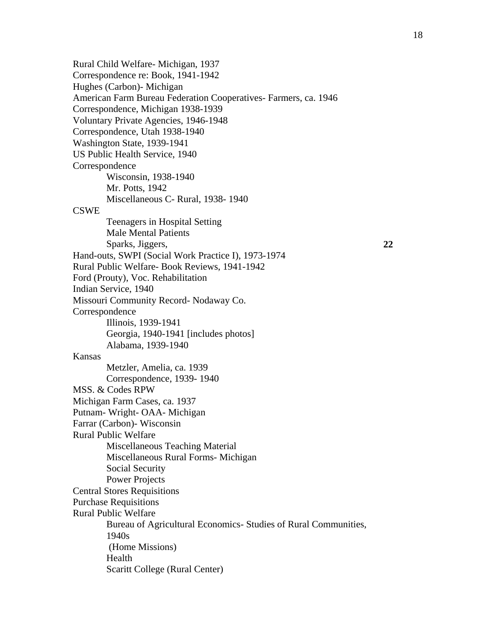Rural Child Welfare- Michigan, 1937 Correspondence re: Book, 1941-1942 Hughes (Carbon)- Michigan American Farm Bureau Federation Cooperatives- Farmers, ca. 1946 Correspondence, Michigan 1938-1939 Voluntary Private Agencies, 1946-1948 Correspondence, Utah 1938-1940 Washington State, 1939-1941 US Public Health Service, 1940 **Correspondence** Wisconsin, 1938-1940 Mr. Potts, 1942 Miscellaneous C- Rural, 1938- 1940 **CSWE** Teenagers in Hospital Setting Male Mental Patients Sparks, Jiggers, **22**  Hand-outs, SWPI (Social Work Practice I), 1973-1974 Rural Public Welfare- Book Reviews, 1941-1942 Ford (Prouty), Voc. Rehabilitation Indian Service, 1940 Missouri Community Record- Nodaway Co. Correspondence Illinois, 1939-1941 Georgia, 1940-1941 [includes photos] Alabama, 1939-1940 Kansas Metzler, Amelia, ca. 1939 Correspondence, 1939- 1940 MSS. & Codes RPW Michigan Farm Cases, ca. 1937 Putnam- Wright- OAA- Michigan Farrar (Carbon)- Wisconsin Rural Public Welfare Miscellaneous Teaching Material Miscellaneous Rural Forms- Michigan Social Security Power Projects Central Stores Requisitions Purchase Requisitions Rural Public Welfare Bureau of Agricultural Economics- Studies of Rural Communities, 1940s (Home Missions) Health Scaritt College (Rural Center)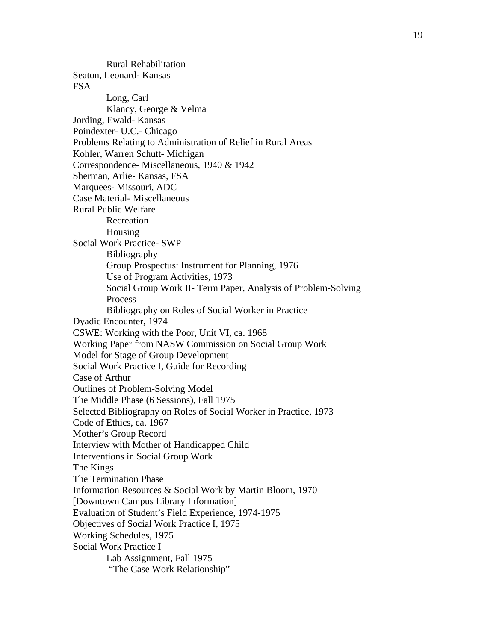Rural Rehabilitation Seaton, Leonard- Kansas FSA Long, Carl Klancy, George & Velma Jording, Ewald- Kansas Poindexter- U.C.- Chicago Problems Relating to Administration of Relief in Rural Areas Kohler, Warren Schutt- Michigan Correspondence- Miscellaneous, 1940 & 1942 Sherman, Arlie- Kansas, FSA Marquees- Missouri, ADC Case Material- Miscellaneous Rural Public Welfare Recreation Housing Social Work Practice- SWP Bibliography Group Prospectus: Instrument for Planning, 1976 Use of Program Activities, 1973 Social Group Work II- Term Paper, Analysis of Problem-Solving Process Bibliography on Roles of Social Worker in Practice Dyadic Encounter, 1974 CSWE: Working with the Poor, Unit VI, ca. 1968 Working Paper from NASW Commission on Social Group Work Model for Stage of Group Development Social Work Practice I, Guide for Recording Case of Arthur Outlines of Problem-Solving Model The Middle Phase (6 Sessions), Fall 1975 Selected Bibliography on Roles of Social Worker in Practice, 1973 Code of Ethics, ca. 1967 Mother's Group Record Interview with Mother of Handicapped Child Interventions in Social Group Work The Kings The Termination Phase Information Resources & Social Work by Martin Bloom, 1970 [Downtown Campus Library Information] Evaluation of Student's Field Experience, 1974-1975 Objectives of Social Work Practice I, 1975 Working Schedules, 1975 Social Work Practice I Lab Assignment, Fall 1975 "The Case Work Relationship"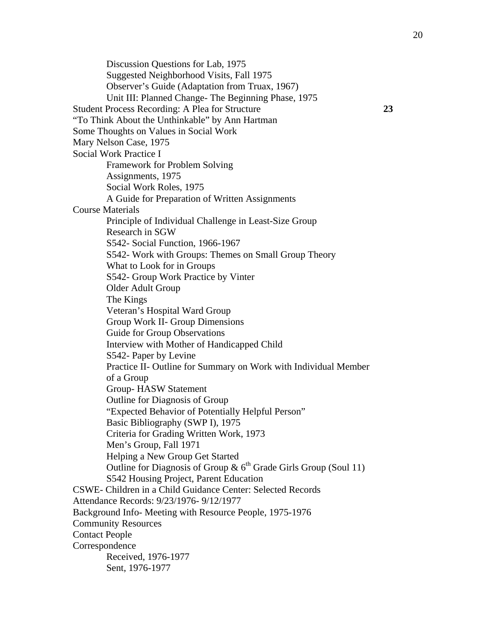Discussion Questions for Lab, 1975 Suggested Neighborhood Visits, Fall 1975 Observer's Guide (Adaptation from Truax, 1967) Unit III: Planned Change- The Beginning Phase, 1975 Student Process Recording: A Plea for Structure **23**  "To Think About the Unthinkable" by Ann Hartman Some Thoughts on Values in Social Work Mary Nelson Case, 1975 Social Work Practice I Framework for Problem Solving Assignments, 1975 Social Work Roles, 1975 A Guide for Preparation of Written Assignments Course Materials Principle of Individual Challenge in Least-Size Group Research in SGW S542- Social Function, 1966-1967 S542- Work with Groups: Themes on Small Group Theory What to Look for in Groups S542- Group Work Practice by Vinter Older Adult Group The Kings Veteran's Hospital Ward Group Group Work II- Group Dimensions Guide for Group Observations Interview with Mother of Handicapped Child S542- Paper by Levine Practice II- Outline for Summary on Work with Individual Member of a Group Group- HASW Statement Outline for Diagnosis of Group "Expected Behavior of Potentially Helpful Person" Basic Bibliography (SWP I), 1975 Criteria for Grading Written Work, 1973 Men's Group, Fall 1971 Helping a New Group Get Started Outline for Diagnosis of Group &  $6<sup>th</sup>$  Grade Girls Group (Soul 11) S542 Housing Project, Parent Education CSWE- Children in a Child Guidance Center: Selected Records Attendance Records: 9/23/1976- 9/12/1977 Background Info- Meeting with Resource People, 1975-1976 Community Resources Contact People Correspondence Received, 1976-1977 Sent, 1976-1977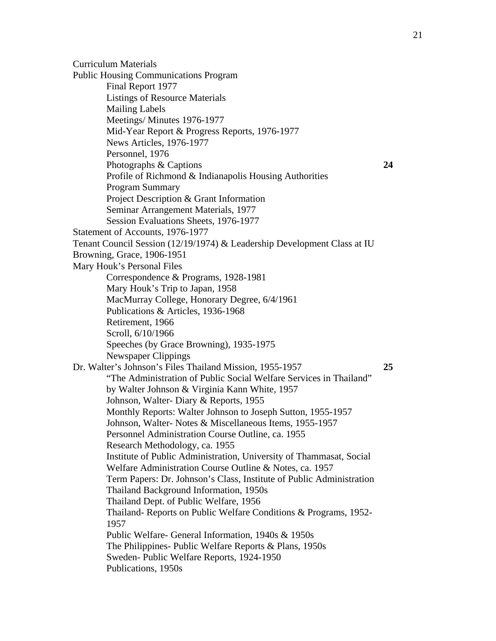Curriculum Materials Public Housing Communications Program Final Report 1977 Listings of Resource Materials Mailing Labels Meetings/ Minutes 1976-1977 Mid-Year Report & Progress Reports, 1976-1977 News Articles, 1976-1977 Personnel, 1976 Photographs & Captions **24**  Profile of Richmond & Indianapolis Housing Authorities Program Summary Project Description & Grant Information Seminar Arrangement Materials, 1977 Session Evaluations Sheets, 1976-1977 Statement of Accounts, 1976-1977 Tenant Council Session (12/19/1974) & Leadership Development Class at IU Browning, Grace, 1906-1951 Mary Houk's Personal Files Correspondence & Programs, 1928-1981 Mary Houk's Trip to Japan, 1958 MacMurray College, Honorary Degree, 6/4/1961 Publications & Articles, 1936-1968 Retirement, 1966 Scroll, 6/10/1966 Speeches (by Grace Browning), 1935-1975 Newspaper Clippings Dr. Walter's Johnson's Files Thailand Mission, 1955-1957 **25**  "The Administration of Public Social Welfare Services in Thailand" by Walter Johnson & Virginia Kann White, 1957 Johnson, Walter- Diary & Reports, 1955 Monthly Reports: Walter Johnson to Joseph Sutton, 1955-1957 Johnson, Walter- Notes & Miscellaneous Items, 1955-1957 Personnel Administration Course Outline, ca. 1955 Research Methodology, ca. 1955 Institute of Public Administration, University of Thammasat, Social Welfare Administration Course Outline & Notes, ca. 1957 Term Papers: Dr. Johnson's Class, Institute of Public Administration Thailand Background Information, 1950s Thailand Dept. of Public Welfare, 1956 Thailand- Reports on Public Welfare Conditions & Programs, 1952- 1957 Public Welfare- General Information, 1940s & 1950s The Philippines- Public Welfare Reports & Plans, 1950s Sweden- Public Welfare Reports, 1924-1950 Publications, 1950s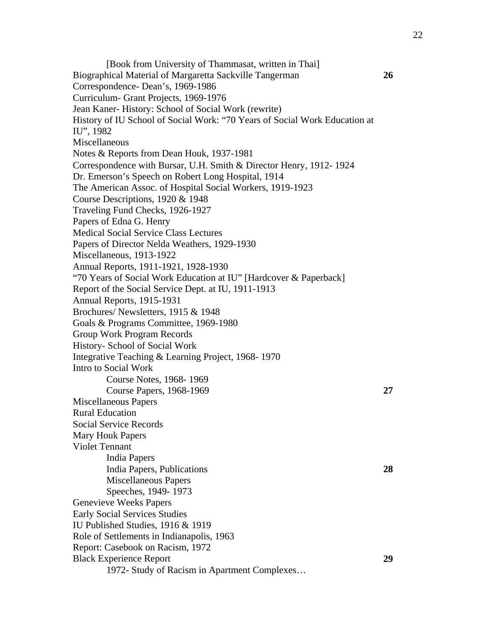[Book from University of Thammasat, written in Thai] Biographical Material of Margaretta Sackville Tangerman **26**  Correspondence- Dean's, 1969-1986 Curriculum- Grant Projects, 1969-1976 Jean Kaner- History: School of Social Work (rewrite) History of IU School of Social Work: "70 Years of Social Work Education at IU", 1982 Miscellaneous Notes & Reports from Dean Houk, 1937-1981 Correspondence with Bursar, U.H. Smith & Director Henry, 1912- 1924 Dr. Emerson's Speech on Robert Long Hospital, 1914 The American Assoc. of Hospital Social Workers, 1919-1923 Course Descriptions, 1920 & 1948 Traveling Fund Checks, 1926-1927 Papers of Edna G. Henry Medical Social Service Class Lectures Papers of Director Nelda Weathers, 1929-1930 Miscellaneous, 1913-1922 Annual Reports, 1911-1921, 1928-1930 "70 Years of Social Work Education at IU" [Hardcover & Paperback] Report of the Social Service Dept. at IU, 1911-1913 Annual Reports, 1915-1931 Brochures/ Newsletters, 1915 & 1948 Goals & Programs Committee, 1969-1980 Group Work Program Records History- School of Social Work Integrative Teaching & Learning Project, 1968- 1970 Intro to Social Work Course Notes, 1968- 1969 Course Papers, 1968-1969 **27**  Miscellaneous Papers Rural Education Social Service Records Mary Houk Papers Violet Tennant India Papers India Papers, Publications **28**  Miscellaneous Papers Speeches, 1949- 1973 Genevieve Weeks Papers Early Social Services Studies IU Published Studies, 1916 & 1919 Role of Settlements in Indianapolis, 1963 Report: Casebook on Racism, 1972 Black Experience Report **29**  1972- Study of Racism in Apartment Complexes…

22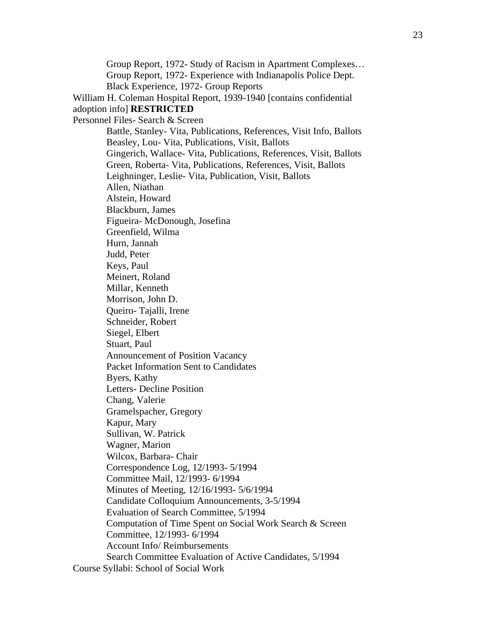Group Report, 1972- Study of Racism in Apartment Complexes… Group Report, 1972- Experience with Indianapolis Police Dept. Black Experience, 1972- Group Reports William H. Coleman Hospital Report, 1939-1940 [contains confidential adoption info] **RESTRICTED**  Personnel Files- Search & Screen Battle, Stanley- Vita, Publications, References, Visit Info, Ballots Beasley, Lou- Vita, Publications, Visit, Ballots Gingerich, Wallace- Vita, Publications, References, Visit, Ballots Green, Roberta- Vita, Publications, References, Visit, Ballots Leighninger, Leslie- Vita, Publication, Visit, Ballots Allen, Niathan Alstein, Howard Blackburn, James Figueira- McDonough, Josefina Greenfield, Wilma Hurn, Jannah Judd, Peter Keys, Paul Meinert, Roland Millar, Kenneth Morrison, John D. Queiro- Tajalli, Irene Schneider, Robert Siegel, Elbert Stuart, Paul Announcement of Position Vacancy Packet Information Sent to Candidates Byers, Kathy Letters- Decline Position Chang, Valerie Gramelspacher, Gregory Kapur, Mary Sullivan, W. Patrick Wagner, Marion Wilcox, Barbara- Chair Correspondence Log, 12/1993- 5/1994 Committee Mail, 12/1993- 6/1994 Minutes of Meeting, 12/16/1993- 5/6/1994 Candidate Colloquium Announcements, 3-5/1994 Evaluation of Search Committee, 5/1994 Computation of Time Spent on Social Work Search & Screen Committee, 12/1993- 6/1994 Account Info/ Reimbursements Search Committee Evaluation of Active Candidates, 5/1994 Course Syllabi: School of Social Work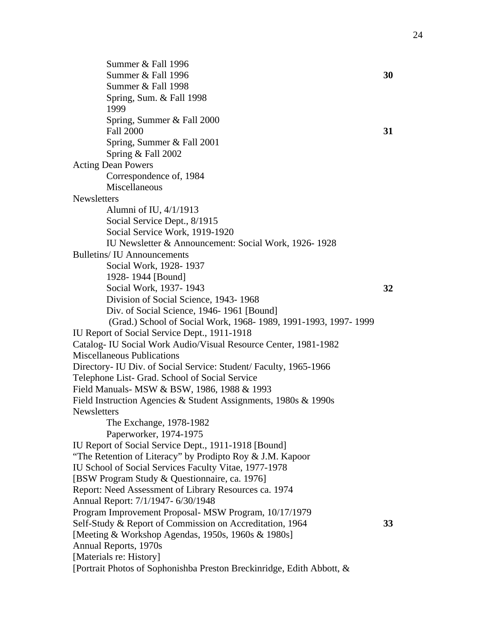Summer & Fall 1996 Summer & Fall 1996 **30**  Summer & Fall 1998 Spring, Sum. & Fall 1998 1999 Spring, Summer & Fall 2000 Fall 2000 **31** Spring, Summer & Fall 2001 Spring & Fall 2002 Acting Dean Powers Correspondence of, 1984 Miscellaneous **Newsletters** Alumni of IU, 4/1/1913 Social Service Dept., 8/1915 Social Service Work, 1919-1920 IU Newsletter & Announcement: Social Work, 1926- 1928 Bulletins/ IU Announcements Social Work, 1928- 1937 1928- 1944 [Bound] Social Work, 1937- 1943 **32**  Division of Social Science, 1943- 1968 Div. of Social Science, 1946- 1961 [Bound] (Grad.) School of Social Work, 1968- 1989, 1991-1993, 1997- 1999 IU Report of Social Service Dept., 1911-1918 Catalog- IU Social Work Audio/Visual Resource Center, 1981-1982 Miscellaneous Publications Directory- IU Div. of Social Service: Student/ Faculty, 1965-1966 Telephone List- Grad. School of Social Service Field Manuals- MSW & BSW, 1986, 1988 & 1993 Field Instruction Agencies & Student Assignments, 1980s & 1990s **Newsletters** The Exchange, 1978-1982 Paperworker, 1974-1975 IU Report of Social Service Dept., 1911-1918 [Bound] "The Retention of Literacy" by Prodipto Roy & J.M. Kapoor IU School of Social Services Faculty Vitae, 1977-1978 [BSW Program Study & Questionnaire, ca. 1976] Report: Need Assessment of Library Resources ca. 1974 Annual Report: 7/1/1947- 6/30/1948 Program Improvement Proposal- MSW Program, 10/17/1979 Self-Study & Report of Commission on Accreditation, 1964 **33**  [Meeting & Workshop Agendas, 1950s, 1960s & 1980s] Annual Reports, 1970s [Materials re: History] [Portrait Photos of Sophonishba Preston Breckinridge, Edith Abbott, &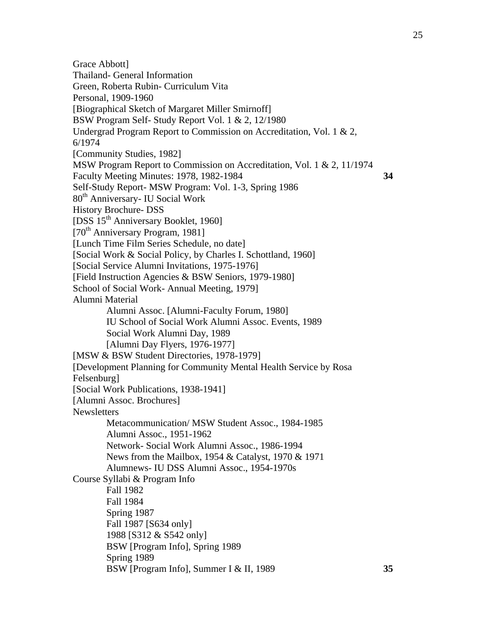Grace Abbott] Thailand- General Information Green, Roberta Rubin- Curriculum Vita Personal, 1909-1960 [Biographical Sketch of Margaret Miller Smirnoff] BSW Program Self- Study Report Vol. 1 & 2, 12/1980 Undergrad Program Report to Commission on Accreditation, Vol. 1 & 2, 6/1974 [Community Studies, 1982] MSW Program Report to Commission on Accreditation, Vol. 1 & 2, 11/1974 Faculty Meeting Minutes: 1978, 1982-1984 **34**  Self-Study Report- MSW Program: Vol. 1-3, Spring 1986 80<sup>th</sup> Anniversary- IU Social Work History Brochure- DSS [DSS 15<sup>th</sup> Anniversary Booklet, 1960] [70<sup>th</sup> Anniversary Program, 1981] [Lunch Time Film Series Schedule, no date] [Social Work & Social Policy, by Charles I. Schottland, 1960] [Social Service Alumni Invitations, 1975-1976] [Field Instruction Agencies & BSW Seniors, 1979-1980] School of Social Work- Annual Meeting, 1979] Alumni Material Alumni Assoc. [Alumni-Faculty Forum, 1980] IU School of Social Work Alumni Assoc. Events, 1989 Social Work Alumni Day, 1989 [Alumni Day Flyers, 1976-1977] [MSW & BSW Student Directories, 1978-1979] [Development Planning for Community Mental Health Service by Rosa Felsenburg] [Social Work Publications, 1938-1941] [Alumni Assoc. Brochures] **Newsletters** Metacommunication/ MSW Student Assoc., 1984-1985 Alumni Assoc., 1951-1962 Network- Social Work Alumni Assoc., 1986-1994 News from the Mailbox, 1954 & Catalyst, 1970 & 1971 Alumnews- IU DSS Alumni Assoc., 1954-1970s Course Syllabi & Program Info Fall 1982 Fall 1984 Spring 1987 Fall 1987 [S634 only] 1988 [S312 & S542 only] BSW [Program Info], Spring 1989 Spring 1989 BSW [Program Info], Summer I & II, 1989 **35**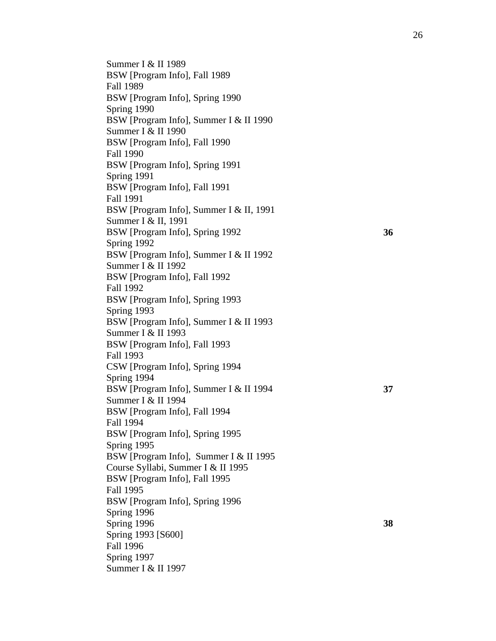Summer I & II 1989 BSW [Program Info], Fall 1989 Fall 1989 BSW [Program Info], Spring 1990 Spring 1990 BSW [Program Info], Summer I & II 1990 Summer I & II 1990 BSW [Program Info], Fall 1990 Fall 1990 BSW [Program Info], Spring 1991 Spring 1991 BSW [Program Info], Fall 1991 Fall 1991 BSW [Program Info], Summer I & II, 1991 Summer I & II, 1991 BSW [Program Info], Spring 1992 **36**  Spring 1992 BSW [Program Info], Summer I & II 1992 Summer I & II 1992 BSW [Program Info], Fall 1992 Fall 1992 BSW [Program Info], Spring 1993 Spring 1993 BSW [Program Info], Summer I & II 1993 Summer I & II 1993 BSW [Program Info], Fall 1993 Fall 1993 CSW [Program Info], Spring 1994 Spring 1994 BSW [Program Info], Summer I & II 1994 **37**  Summer I & II 1994 BSW [Program Info], Fall 1994 Fall 1994 BSW [Program Info], Spring 1995 Spring 1995 BSW [Program Info], Summer I & II 1995 Course Syllabi, Summer I & II 1995 BSW [Program Info], Fall 1995 Fall 1995 BSW [Program Info], Spring 1996 Spring 1996 Spring 1996 **38**  Spring 1993 [S600] Fall 1996 Spring 1997 Summer I & II 1997

26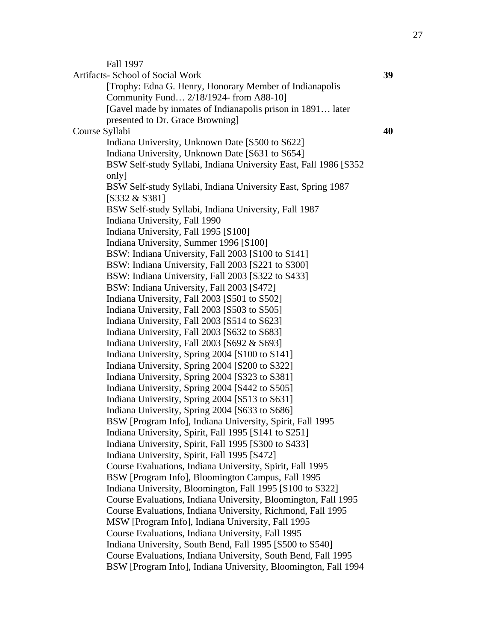Fall 1997

Artifacts- School of Social Work **39**  [Trophy: Edna G. Henry, Honorary Member of Indianapolis Community Fund… 2/18/1924- from A88-10] [Gavel made by inmates of Indianapolis prison in 1891… later presented to Dr. Grace Browning] Course Syllabi **40**  Indiana University, Unknown Date [S500 to S622] Indiana University, Unknown Date [S631 to S654] BSW Self-study Syllabi, Indiana University East, Fall 1986 [S352 only] BSW Self-study Syllabi, Indiana University East, Spring 1987 [S332 & S381] BSW Self-study Syllabi, Indiana University, Fall 1987 Indiana University, Fall 1990 Indiana University, Fall 1995 [S100] Indiana University, Summer 1996 [S100] BSW: Indiana University, Fall 2003 [S100 to S141] BSW: Indiana University, Fall 2003 [S221 to S300] BSW: Indiana University, Fall 2003 [S322 to S433] BSW: Indiana University, Fall 2003 [S472] Indiana University, Fall 2003 [S501 to S502] Indiana University, Fall 2003 [S503 to S505] Indiana University, Fall 2003 [S514 to S623] Indiana University, Fall 2003 [S632 to S683] Indiana University, Fall 2003 [S692 & S693] Indiana University, Spring 2004 [S100 to S141] Indiana University, Spring 2004 [S200 to S322] Indiana University, Spring 2004 [S323 to S381] Indiana University, Spring 2004 [S442 to S505] Indiana University, Spring 2004 [S513 to S631] Indiana University, Spring 2004 [S633 to S686] BSW [Program Info], Indiana University, Spirit, Fall 1995 Indiana University, Spirit, Fall 1995 [S141 to S251] Indiana University, Spirit, Fall 1995 [S300 to S433] Indiana University, Spirit, Fall 1995 [S472] Course Evaluations, Indiana University, Spirit, Fall 1995 BSW [Program Info], Bloomington Campus, Fall 1995 Indiana University, Bloomington, Fall 1995 [S100 to S322] Course Evaluations, Indiana University, Bloomington, Fall 1995 Course Evaluations, Indiana University, Richmond, Fall 1995 MSW [Program Info], Indiana University, Fall 1995 Course Evaluations, Indiana University, Fall 1995 Indiana University, South Bend, Fall 1995 [S500 to S540] Course Evaluations, Indiana University, South Bend, Fall 1995 BSW [Program Info], Indiana University, Bloomington, Fall 1994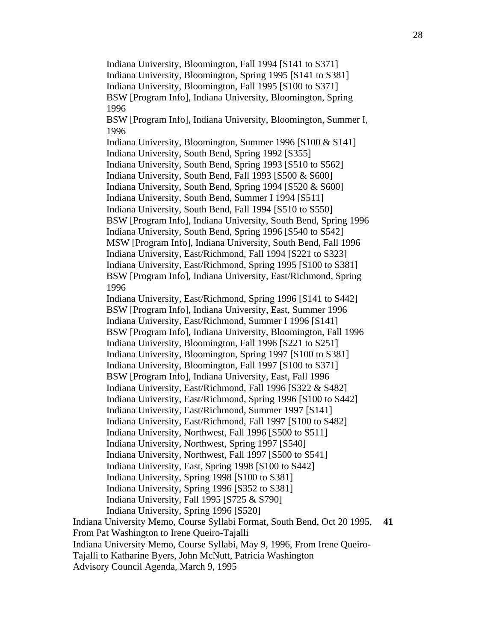Indiana University, Bloomington, Fall 1994 [S141 to S371] Indiana University, Bloomington, Spring 1995 [S141 to S381] Indiana University, Bloomington, Fall 1995 [S100 to S371] BSW [Program Info], Indiana University, Bloomington, Spring 1996 BSW [Program Info], Indiana University, Bloomington, Summer I, 1996 Indiana University, Bloomington, Summer 1996 [S100 & S141] Indiana University, South Bend, Spring 1992 [S355] Indiana University, South Bend, Spring 1993 [S510 to S562] Indiana University, South Bend, Fall 1993 [S500 & S600] Indiana University, South Bend, Spring 1994 [S520 & S600] Indiana University, South Bend, Summer I 1994 [S511] Indiana University, South Bend, Fall 1994 [S510 to S550] BSW [Program Info], Indiana University, South Bend, Spring 1996 Indiana University, South Bend, Spring 1996 [S540 to S542] MSW [Program Info], Indiana University, South Bend, Fall 1996 Indiana University, East/Richmond, Fall 1994 [S221 to S323] Indiana University, East/Richmond, Spring 1995 [S100 to S381] BSW [Program Info], Indiana University, East/Richmond, Spring 1996 Indiana University, East/Richmond, Spring 1996 [S141 to S442] BSW [Program Info], Indiana University, East, Summer 1996 Indiana University, East/Richmond, Summer I 1996 [S141] BSW [Program Info], Indiana University, Bloomington, Fall 1996 Indiana University, Bloomington, Fall 1996 [S221 to S251] Indiana University, Bloomington, Spring 1997 [S100 to S381] Indiana University, Bloomington, Fall 1997 [S100 to S371] BSW [Program Info], Indiana University, East, Fall 1996 Indiana University, East/Richmond, Fall 1996 [S322 & S482] Indiana University, East/Richmond, Spring 1996 [S100 to S442] Indiana University, East/Richmond, Summer 1997 [S141] Indiana University, East/Richmond, Fall 1997 [S100 to S482] Indiana University, Northwest, Fall 1996 [S500 to S511] Indiana University, Northwest, Spring 1997 [S540] Indiana University, Northwest, Fall 1997 [S500 to S541] Indiana University, East, Spring 1998 [S100 to S442] Indiana University, Spring 1998 [S100 to S381] Indiana University, Spring 1996 [S352 to S381] Indiana University, Fall 1995 [S725 & S790] Indiana University, Spring 1996 [S520] Indiana University Memo, Course Syllabi Format, South Bend, Oct 20 1995, From Pat Washington to Irene Queiro-Tajalli Indiana University Memo, Course Syllabi, May 9, 1996, From Irene Queiro-

Tajalli to Katharine Byers, John McNutt, Patricia Washington

Advisory Council Agenda, March 9, 1995

**41**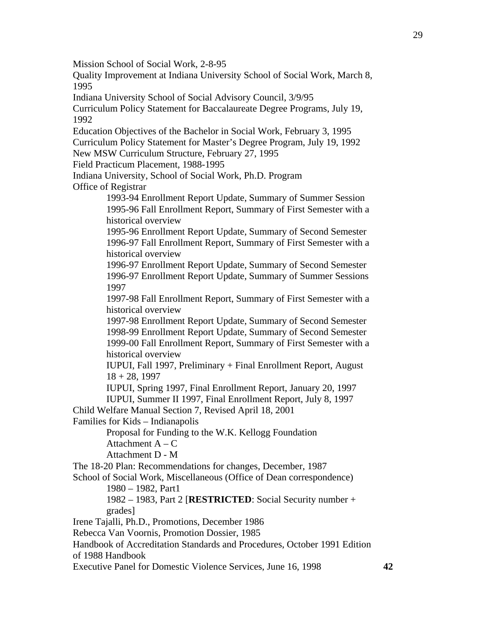Mission School of Social Work, 2-8-95

Quality Improvement at Indiana University School of Social Work, March 8, 1995

Indiana University School of Social Advisory Council, 3/9/95

Curriculum Policy Statement for Baccalaureate Degree Programs, July 19, 1992

Education Objectives of the Bachelor in Social Work, February 3, 1995 Curriculum Policy Statement for Master's Degree Program, July 19, 1992

New MSW Curriculum Structure, February 27, 1995

Field Practicum Placement, 1988-1995

Indiana University, School of Social Work, Ph.D. Program Office of Registrar

> 1993-94 Enrollment Report Update, Summary of Summer Session 1995-96 Fall Enrollment Report, Summary of First Semester with a historical overview

> 1995-96 Enrollment Report Update, Summary of Second Semester 1996-97 Fall Enrollment Report, Summary of First Semester with a historical overview

> 1996-97 Enrollment Report Update, Summary of Second Semester 1996-97 Enrollment Report Update, Summary of Summer Sessions 1997

> 1997-98 Fall Enrollment Report, Summary of First Semester with a historical overview

> 1997-98 Enrollment Report Update, Summary of Second Semester 1998-99 Enrollment Report Update, Summary of Second Semester 1999-00 Fall Enrollment Report, Summary of First Semester with a historical overview

 IUPUI, Fall 1997, Preliminary + Final Enrollment Report, August  $18 + 28$ , 1997

IUPUI, Spring 1997, Final Enrollment Report, January 20, 1997

IUPUI, Summer II 1997, Final Enrollment Report, July 8, 1997

Child Welfare Manual Section 7, Revised April 18, 2001

Families for Kids – Indianapolis

 Proposal for Funding to the W.K. Kellogg Foundation Attachment  $A - C$ 

Attachment D - M

The 18-20 Plan: Recommendations for changes, December, 1987

School of Social Work, Miscellaneous (Office of Dean correspondence) 1980 – 1982, Part1

> 1982 – 1983, Part 2 [**RESTRICTED**: Social Security number + grades]

Irene Tajalli, Ph.D., Promotions, December 1986

Rebecca Van Voornis, Promotion Dossier, 1985

Handbook of Accreditation Standards and Procedures, October 1991 Edition of 1988 Handbook

Executive Panel for Domestic Violence Services, June 16, 1998 **42**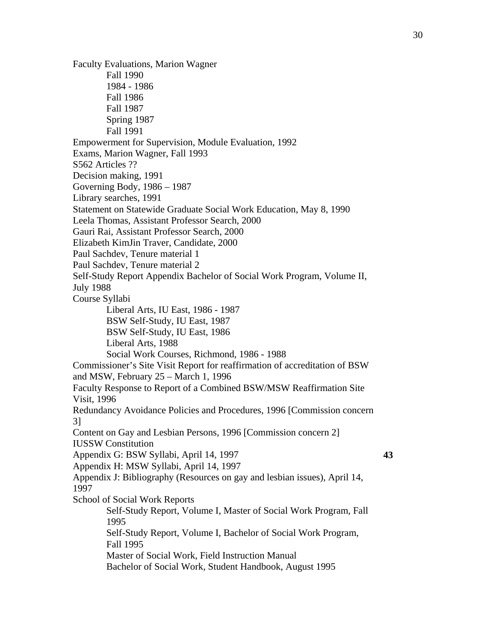Faculty Evaluations, Marion Wagner Fall 1990 1984 - 1986 Fall 1986 Fall 1987 Spring 1987 Fall 1991 Empowerment for Supervision, Module Evaluation, 1992 Exams, Marion Wagner, Fall 1993 S562 Articles ?? Decision making, 1991 Governing Body, 1986 – 1987 Library searches, 1991 Statement on Statewide Graduate Social Work Education, May 8, 1990 Leela Thomas, Assistant Professor Search, 2000 Gauri Rai, Assistant Professor Search, 2000 Elizabeth KimJin Traver, Candidate, 2000 Paul Sachdev, Tenure material 1 Paul Sachdev, Tenure material 2 Self-Study Report Appendix Bachelor of Social Work Program, Volume II, July 1988 Course Syllabi Liberal Arts, IU East, 1986 - 1987 BSW Self-Study, IU East, 1987 BSW Self-Study, IU East, 1986 Liberal Arts, 1988 Social Work Courses, Richmond, 1986 - 1988 Commissioner's Site Visit Report for reaffirmation of accreditation of BSW and MSW, February 25 – March 1, 1996 Faculty Response to Report of a Combined BSW/MSW Reaffirmation Site Visit, 1996 Redundancy Avoidance Policies and Procedures, 1996 [Commission concern 3] Content on Gay and Lesbian Persons, 1996 [Commission concern 2] IUSSW Constitution Appendix G: BSW Syllabi, April 14, 1997 **43**  Appendix H: MSW Syllabi, April 14, 1997 Appendix J: Bibliography (Resources on gay and lesbian issues), April 14, 1997 School of Social Work Reports Self-Study Report, Volume I, Master of Social Work Program, Fall 1995 Self-Study Report, Volume I, Bachelor of Social Work Program, Fall 1995 Master of Social Work, Field Instruction Manual Bachelor of Social Work, Student Handbook, August 1995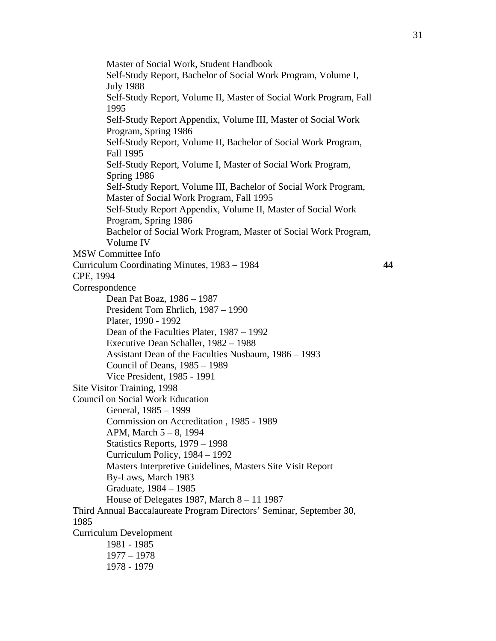Master of Social Work, Student Handbook Self-Study Report, Bachelor of Social Work Program, Volume I, July 1988 Self-Study Report, Volume II, Master of Social Work Program, Fall 1995 Self-Study Report Appendix, Volume III, Master of Social Work Program, Spring 1986 Self-Study Report, Volume II, Bachelor of Social Work Program, Fall 1995 Self-Study Report, Volume I, Master of Social Work Program, Spring 1986 Self-Study Report, Volume III, Bachelor of Social Work Program, Master of Social Work Program, Fall 1995 Self-Study Report Appendix, Volume II, Master of Social Work Program, Spring 1986 Bachelor of Social Work Program, Master of Social Work Program, Volume IV MSW Committee Info Curriculum Coordinating Minutes, 1983 – 1984 **44**  CPE, 1994 Correspondence Dean Pat Boaz, 1986 – 1987 President Tom Ehrlich, 1987 – 1990 Plater, 1990 - 1992 Dean of the Faculties Plater, 1987 – 1992 Executive Dean Schaller, 1982 – 1988 Assistant Dean of the Faculties Nusbaum, 1986 – 1993 Council of Deans, 1985 – 1989 Vice President, 1985 - 1991 Site Visitor Training, 1998 Council on Social Work Education General, 1985 – 1999 Commission on Accreditation , 1985 - 1989 APM, March 5 – 8, 1994 Statistics Reports, 1979 – 1998 Curriculum Policy, 1984 – 1992 Masters Interpretive Guidelines, Masters Site Visit Report By-Laws, March 1983 Graduate, 1984 – 1985 House of Delegates 1987, March 8 – 11 1987 Third Annual Baccalaureate Program Directors' Seminar, September 30, 1985 Curriculum Development 1981 - 1985 1977 – 1978 1978 - 1979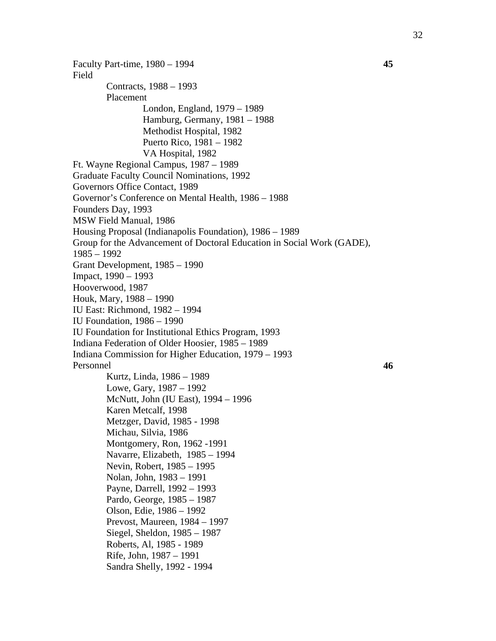Faculty Part-time, 1980 – 1994 **45**  Field Contracts, 1988 – 1993 Placement London, England, 1979 – 1989 Hamburg, Germany, 1981 – 1988 Methodist Hospital, 1982 Puerto Rico, 1981 – 1982 VA Hospital, 1982 Ft. Wayne Regional Campus, 1987 – 1989 Graduate Faculty Council Nominations, 1992 Governors Office Contact, 1989 Governor's Conference on Mental Health, 1986 – 1988 Founders Day, 1993 MSW Field Manual, 1986 Housing Proposal (Indianapolis Foundation), 1986 – 1989 Group for the Advancement of Doctoral Education in Social Work (GADE), 1985 – 1992 Grant Development, 1985 – 1990 Impact, 1990 – 1993 Hooverwood, 1987 Houk, Mary, 1988 – 1990 IU East: Richmond, 1982 – 1994 IU Foundation, 1986 – 1990 IU Foundation for Institutional Ethics Program, 1993 Indiana Federation of Older Hoosier, 1985 – 1989 Indiana Commission for Higher Education, 1979 – 1993 Personnel **46**  Kurtz, Linda, 1986 – 1989 Lowe, Gary, 1987 – 1992 McNutt, John (IU East), 1994 – 1996 Karen Metcalf, 1998 Metzger, David, 1985 - 1998 Michau, Silvia, 1986 Montgomery, Ron, 1962 -1991 Navarre, Elizabeth, 1985 – 1994 Nevin, Robert, 1985 – 1995 Nolan, John, 1983 – 1991 Payne, Darrell, 1992 – 1993 Pardo, George, 1985 – 1987 Olson, Edie, 1986 – 1992 Prevost, Maureen, 1984 – 1997 Siegel, Sheldon, 1985 – 1987 Roberts, Al, 1985 - 1989 Rife, John, 1987 – 1991 Sandra Shelly, 1992 - 1994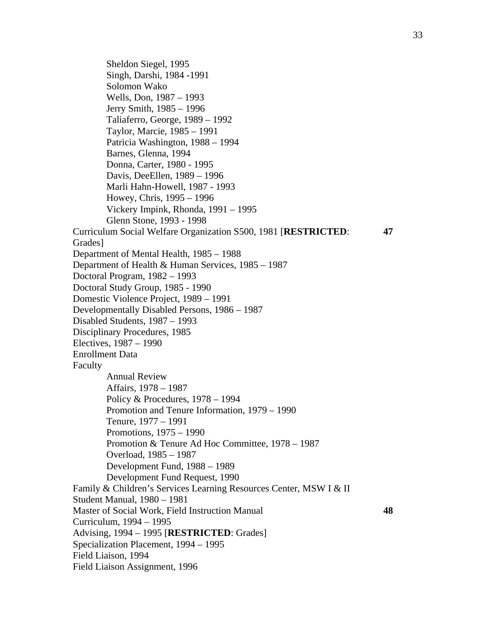Sheldon Siegel, 1995 Singh, Darshi, 1984 -1991 Solomon Wako Wells, Don, 1987 – 1993 Jerry Smith, 1985 – 1996 Taliaferro, George, 1989 – 1992 Taylor, Marcie, 1985 – 1991 Patricia Washington, 1988 – 1994 Barnes, Glenna, 1994 Donna, Carter, 1980 - 1995 Davis, DeeEllen, 1989 – 1996 Marli Hahn-Howell, 1987 - 1993 Howey, Chris, 1995 – 1996 Vickery Impink, Rhonda, 1991 – 1995 Glenn Stone, 1993 - 1998 Curriculum Social Welfare Organization S500, 1981 [**RESTRICTED**: Grades] **47**  Department of Mental Health, 1985 – 1988 Department of Health & Human Services, 1985 – 1987 Doctoral Program, 1982 – 1993 Doctoral Study Group, 1985 - 1990 Domestic Violence Project, 1989 – 1991 Developmentally Disabled Persons, 1986 – 1987 Disabled Students, 1987 – 1993 Disciplinary Procedures, 1985 Electives, 1987 – 1990 Enrollment Data Faculty Annual Review Affairs, 1978 – 1987 Policy & Procedures, 1978 – 1994 Promotion and Tenure Information, 1979 – 1990 Tenure, 1977 – 1991 Promotions, 1975 – 1990 Promotion & Tenure Ad Hoc Committee, 1978 – 1987 Overload, 1985 – 1987 Development Fund, 1988 – 1989 Development Fund Request, 1990 Family & Children's Services Learning Resources Center, MSW I & II Student Manual, 1980 – 1981 Master of Social Work, Field Instruction Manual **48**  Curriculum, 1994 – 1995 Advising, 1994 – 1995 [**RESTRICTED**: Grades] Specialization Placement, 1994 – 1995 Field Liaison, 1994 Field Liaison Assignment, 1996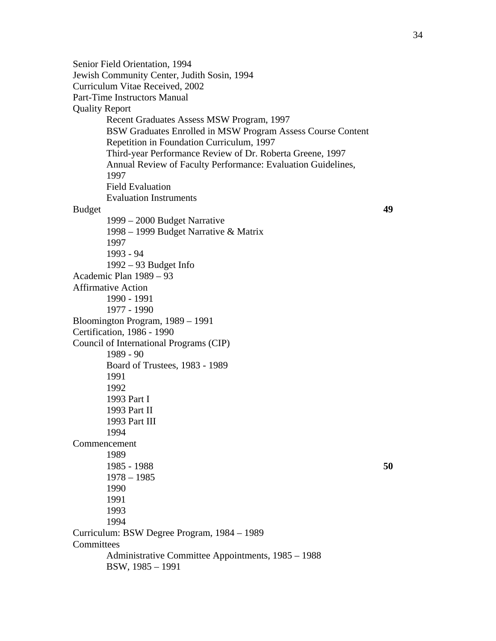Senior Field Orientation, 1994 Jewish Community Center, Judith Sosin, 1994 Curriculum Vitae Received, 2002 Part-Time Instructors Manual Quality Report Recent Graduates Assess MSW Program, 1997 BSW Graduates Enrolled in MSW Program Assess Course Content Repetition in Foundation Curriculum, 1997 Third-year Performance Review of Dr. Roberta Greene, 1997 Annual Review of Faculty Performance: Evaluation Guidelines, 1997 Field Evaluation Evaluation Instruments Budget **49**  1999 – 2000 Budget Narrative 1998 – 1999 Budget Narrative & Matrix 1997 1993 - 94 1992 – 93 Budget Info Academic Plan 1989 – 93 Affirmative Action 1990 - 1991 1977 - 1990 Bloomington Program, 1989 – 1991 Certification, 1986 - 1990 Council of International Programs (CIP) 1989 - 90 Board of Trustees, 1983 - 1989 1991 1992 1993 Part I 1993 Part II 1993 Part III 1994 Commencement 1989 1985 - 1988 **50**  1978 – 1985 1990 1991 1993 1994 Curriculum: BSW Degree Program, 1984 – 1989 **Committees**  Administrative Committee Appointments, 1985 – 1988 BSW, 1985 – 1991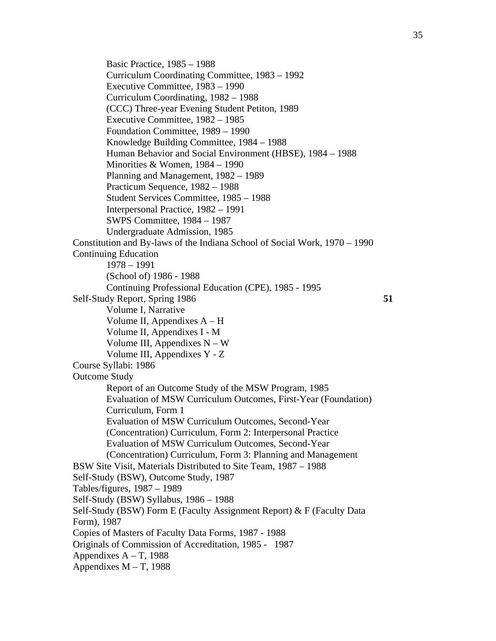Basic Practice, 1985 – 1988 Curriculum Coordinating Committee, 1983 – 1992 Executive Committee, 1983 – 1990 Curriculum Coordinating, 1982 – 1988 (CCC) Three-year Evening Student Petiton, 1989 Executive Committee, 1982 – 1985 Foundation Committee, 1989 – 1990 Knowledge Building Committee, 1984 – 1988 Human Behavior and Social Environment (HBSE), 1984 – 1988 Minorities & Women, 1984 – 1990 Planning and Management, 1982 – 1989 Practicum Sequence, 1982 – 1988 Student Services Committee, 1985 – 1988 Interpersonal Practice, 1982 – 1991 SWPS Committee, 1984 – 1987 Undergraduate Admission, 1985 Constitution and By-laws of the Indiana School of Social Work, 1970 – 1990 Continuing Education 1978 – 1991 (School of) 1986 - 1988 Continuing Professional Education (CPE), 1985 - 1995 Self-Study Report, Spring 1986 **51**  Volume I, Narrative Volume II, Appendixes A – H Volume II, Appendixes I - M Volume III, Appendixes  $N - W$  Volume III, Appendixes Y - Z Course Syllabi: 1986 Outcome Study Report of an Outcome Study of the MSW Program, 1985 Evaluation of MSW Curriculum Outcomes, First-Year (Foundation) Curriculum, Form 1 Evaluation of MSW Curriculum Outcomes, Second-Year (Concentration) Curriculum, Form 2: Interpersonal Practice Evaluation of MSW Curriculum Outcomes, Second-Year (Concentration) Curriculum, Form 3: Planning and Management BSW Site Visit, Materials Distributed to Site Team, 1987 – 1988 Self-Study (BSW), Outcome Study, 1987 Tables/figures, 1987 – 1989 Self-Study (BSW) Syllabus, 1986 – 1988 Self-Study (BSW) Form E (Faculty Assignment Report) & F (Faculty Data Form), 1987 Copies of Masters of Faculty Data Forms, 1987 - 1988 Originals of Commission of Accreditation, 1985 - 1987 Appendixes  $A - T$ , 1988 Appendixes  $M - T$ , 1988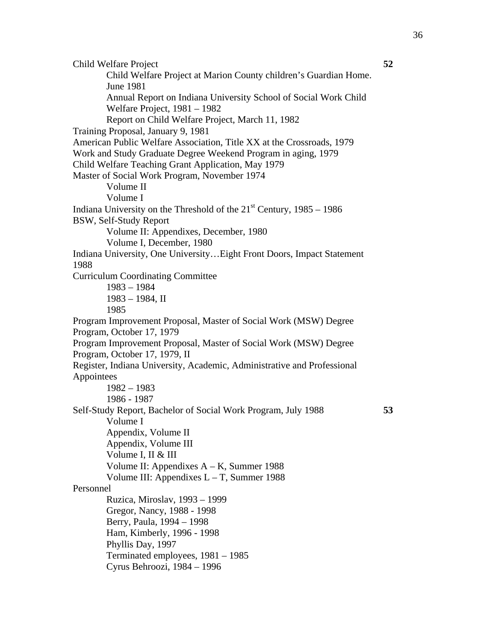Child Welfare Project **52**  Child Welfare Project at Marion County children's Guardian Home. June 1981 Annual Report on Indiana University School of Social Work Child Welfare Project, 1981 – 1982 Report on Child Welfare Project, March 11, 1982 Training Proposal, January 9, 1981 American Public Welfare Association, Title XX at the Crossroads, 1979 Work and Study Graduate Degree Weekend Program in aging, 1979 Child Welfare Teaching Grant Application, May 1979 Master of Social Work Program, November 1974 Volume II Volume I Indiana University on the Threshold of the  $21<sup>st</sup>$  Century, 1985 – 1986 BSW, Self-Study Report Volume II: Appendixes, December, 1980 Volume I, December, 1980 Indiana University, One University…Eight Front Doors, Impact Statement 1988 Curriculum Coordinating Committee 1983 – 1984 1983 – 1984, II 1985 Program Improvement Proposal, Master of Social Work (MSW) Degree Program, October 17, 1979 Program Improvement Proposal, Master of Social Work (MSW) Degree Program, October 17, 1979, II Register, Indiana University, Academic, Administrative and Professional Appointees 1982 – 1983 1986 - 1987 Self-Study Report, Bachelor of Social Work Program, July 1988 **53**  Volume I Appendix, Volume II Appendix, Volume III Volume I, II & III Volume II: Appendixes A – K, Summer 1988 Volume III: Appendixes L – T, Summer 1988 Personnel Ruzica, Miroslav, 1993 – 1999 Gregor, Nancy, 1988 - 1998 Berry, Paula, 1994 – 1998 Ham, Kimberly, 1996 - 1998 Phyllis Day, 1997 Terminated employees, 1981 – 1985 Cyrus Behroozi, 1984 – 1996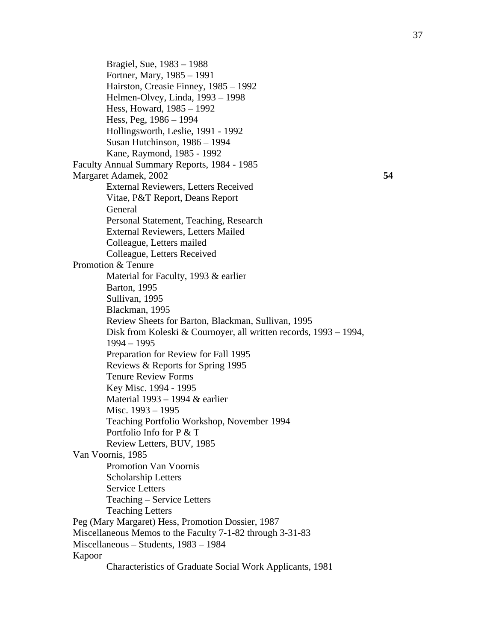Bragiel, Sue, 1983 – 1988 Fortner, Mary, 1985 – 1991 Hairston, Creasie Finney, 1985 – 1992 Helmen-Olvey, Linda, 1993 – 1998 Hess, Howard, 1985 – 1992 Hess, Peg, 1986 – 1994 Hollingsworth, Leslie, 1991 - 1992 Susan Hutchinson, 1986 – 1994 Kane, Raymond, 1985 - 1992 Faculty Annual Summary Reports, 1984 - 1985 Margaret Adamek, 2002 **54**  External Reviewers, Letters Received Vitae, P&T Report, Deans Report General Personal Statement, Teaching, Research External Reviewers, Letters Mailed Colleague, Letters mailed Colleague, Letters Received Promotion & Tenure Material for Faculty, 1993 & earlier Barton, 1995 Sullivan, 1995 Blackman, 1995 Review Sheets for Barton, Blackman, Sullivan, 1995 Disk from Koleski & Cournoyer, all written records, 1993 – 1994, 1994 – 1995 Preparation for Review for Fall 1995 Reviews & Reports for Spring 1995 Tenure Review Forms Key Misc. 1994 - 1995 Material 1993 – 1994 & earlier Misc. 1993 – 1995 Teaching Portfolio Workshop, November 1994 Portfolio Info for P & T Review Letters, BUV, 1985 Van Voornis, 1985 Promotion Van Voornis Scholarship Letters Service Letters Teaching – Service Letters Teaching Letters Peg (Mary Margaret) Hess, Promotion Dossier, 1987 Miscellaneous Memos to the Faculty 7-1-82 through 3-31-83 Miscellaneous – Students, 1983 – 1984 Kapoor Characteristics of Graduate Social Work Applicants, 1981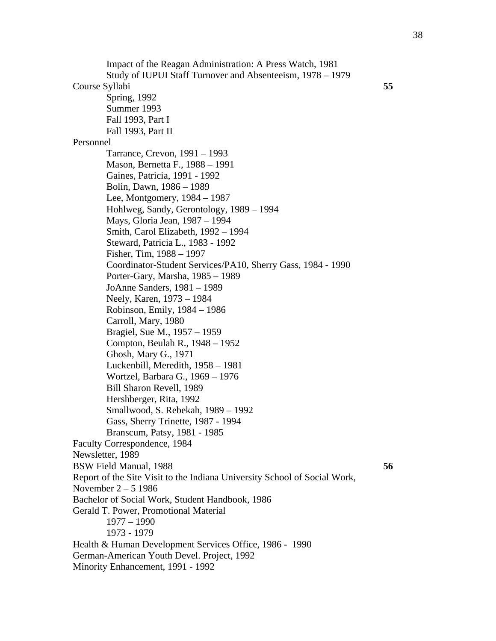Impact of the Reagan Administration: A Press Watch, 1981 Study of IUPUI Staff Turnover and Absenteeism, 1978 – 1979 Course Syllabi **55**  Spring, 1992 Summer 1993 Fall 1993, Part I Fall 1993, Part II Personnel Tarrance, Crevon, 1991 – 1993 Mason, Bernetta F., 1988 – 1991 Gaines, Patricia, 1991 - 1992 Bolin, Dawn, 1986 – 1989 Lee, Montgomery, 1984 – 1987 Hohlweg, Sandy, Gerontology, 1989 – 1994 Mays, Gloria Jean, 1987 – 1994 Smith, Carol Elizabeth, 1992 – 1994 Steward, Patricia L., 1983 - 1992 Fisher, Tim, 1988 – 1997 Coordinator-Student Services/PA10, Sherry Gass, 1984 - 1990 Porter-Gary, Marsha, 1985 – 1989 JoAnne Sanders, 1981 – 1989 Neely, Karen, 1973 – 1984 Robinson, Emily, 1984 – 1986 Carroll, Mary, 1980 Bragiel, Sue M., 1957 – 1959 Compton, Beulah R., 1948 – 1952 Ghosh, Mary G., 1971 Luckenbill, Meredith, 1958 – 1981 Wortzel, Barbara G., 1969 – 1976 Bill Sharon Revell, 1989 Hershberger, Rita, 1992 Smallwood, S. Rebekah, 1989 – 1992 Gass, Sherry Trinette, 1987 - 1994 Branscum, Patsy, 1981 - 1985 Faculty Correspondence, 1984 Newsletter, 1989 BSW Field Manual, 1988 **56**  Report of the Site Visit to the Indiana University School of Social Work, November 2 – 5 1986 Bachelor of Social Work, Student Handbook, 1986 Gerald T. Power, Promotional Material 1977 – 1990 1973 - 1979 Health & Human Development Services Office, 1986 - 1990 German-American Youth Devel. Project, 1992 Minority Enhancement, 1991 - 1992